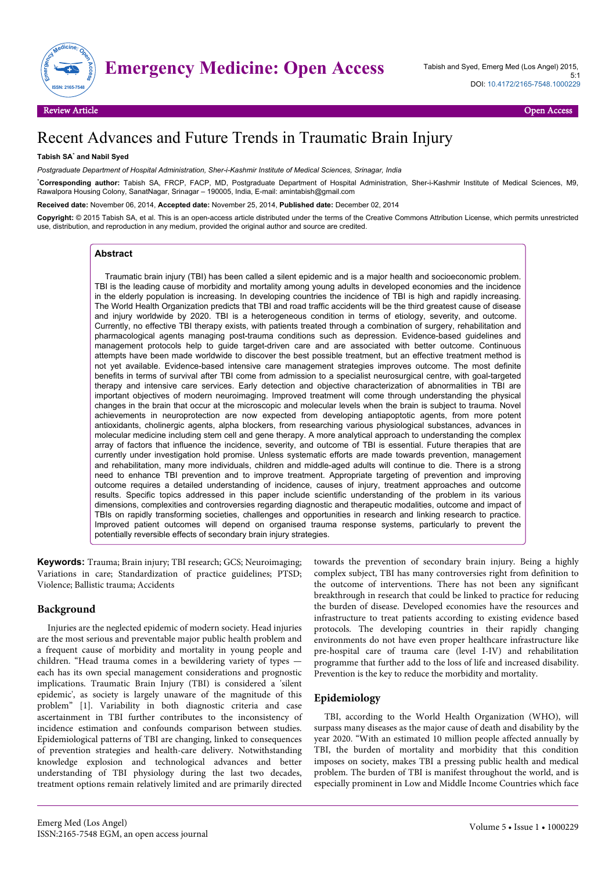

# **Emergency Medicine: Open Access** Tabish and Syed, Emerg Med (Los Angel) 2015,

## Recent Advances and Future Trends in Traumatic Brain Injury

#### **Tabish SA**\*  **and Nabil Syed**

*Postgraduate Department of Hospital Administration, Sher-i-Kashmir Institute of Medical Sciences, Srinagar, India*

\***Corresponding author:** Tabish SA, FRCP, FACP, MD, Postgraduate Department of Hospital Administration, Sher-i-Kashmir Institute of Medical Sciences, M9, Rawalpora Housing Colony, SanatNagar, Srinagar – 190005, India, E-mail: amintabish@gmail.com

**Received date:** November 06, 2014, **Accepted date:** November 25, 2014, **Published date:** December 02, 2014

**Copyright:** © 2015 Tabish SA, et al. This is an open-access article distributed under the terms of the Creative Commons Attribution License, which permits unrestricted use, distribution, and reproduction in any medium, provided the original author and source are credited.

#### **Abstract**

Traumatic brain injury (TBI) has been called a silent epidemic and is a major health and socioeconomic problem. TBI is the leading cause of morbidity and mortality among young adults in developed economies and the incidence in the elderly population is increasing. In developing countries the incidence of TBI is high and rapidly increasing. The World Health Organization predicts that TBI and road traffic accidents will be the third greatest cause of disease and injury worldwide by 2020. TBI is a heterogeneous condition in terms of etiology, severity, and outcome. Currently, no effective TBI therapy exists, with patients treated through a combination of surgery, rehabilitation and pharmacological agents managing post-trauma conditions such as depression. Evidence-based guidelines and management protocols help to guide target-driven care and are associated with better outcome. Continuous attempts have been made worldwide to discover the best possible treatment, but an effective treatment method is not yet available. Evidence-based intensive care management strategies improves outcome. The most definite benefits in terms of survival after TBI come from admission to a specialist neurosurgical centre, with goal-targeted therapy and intensive care services. Early detection and objective characterization of abnormalities in TBI are important objectives of modern neuroimaging. Improved treatment will come through understanding the physical changes in the brain that occur at the microscopic and molecular levels when the brain is subject to trauma. Novel achievements in neuroprotection are now expected from developing antiapoptotic agents, from more potent antioxidants, cholinergic agents, alpha blockers, from researching various physiological substances, advances in molecular medicine including stem cell and gene therapy. A more analytical approach to understanding the complex array of factors that influence the incidence, severity, and outcome of TBI is essential. Future therapies that are currently under investigation hold promise. Unless systematic efforts are made towards prevention, management and rehabilitation, many more individuals, children and middle-aged adults will continue to die. There is a strong need to enhance TBI prevention and to improve treatment. Appropriate targeting of prevention and improving outcome requires a detailed understanding of incidence, causes of injury, treatment approaches and outcome results. Specific topics addressed in this paper include scientific understanding of the problem in its various dimensions, complexities and controversies regarding diagnostic and therapeutic modalities, outcome and impact of TBIs on rapidly transforming societies, challenges and opportunities in research and linking research to practice. Improved patient outcomes will depend on organised trauma response systems, particularly to prevent the potentially reversible effects of secondary brain injury strategies.

**Keywords:** Trauma; Brain injury; TBI research; GCS; Neuroimaging; Variations in care; Standardization of practice guidelines; PTSD; Violence; Ballistic trauma; Accidents

#### **Background**

Injuries are the neglected epidemic of modern society. Head injuries are the most serious and preventable major public health problem and a frequent cause of morbidity and mortality in young people and children. "Head trauma comes in a bewildering variety of types each has its own special management considerations and prognostic implications. Traumatic Brain Injury (TBI) is considered a 'silent epidemic', as society is largely unaware of the magnitude of this problem" [1]. Variability in both diagnostic criteria and case ascertainment in TBI further contributes to the inconsistency of incidence estimation and confounds comparison between studies. Epidemiological patterns of TBI are changing, linked to consequences of prevention strategies and health-care delivery. Notwithstanding knowledge explosion and technological advances and better understanding of TBI physiology during the last two decades, treatment options remain relatively limited and are primarily directed

towards the prevention of secondary brain injury. Being a highly complex subject, TBI has many controversies right from definition to the outcome of interventions. There has not been any significant breakthrough in research that could be linked to practice for reducing the burden of disease. Developed economies have the resources and infrastructure to treat patients according to existing evidence based protocols. The developing countries in their rapidly changing environments do not have even proper healthcare infrastructure like pre-hospital care of trauma care (level I-IV) and rehabilitation programme that further add to the loss of life and increased disability. Prevention is the key to reduce the morbidity and mortality.

## **Epidemiology**

TBI, according to the World Health Organization (WHO), will surpass many diseases as the major cause of death and disability by the year 2020. "With an estimated 10 million people affected annually by TBI, the burden of mortality and morbidity that this condition imposes on society, makes TBI a pressing public health and medical problem. The burden of TBI is manifest throughout the world, and is especially prominent in Low and Middle Income Countries which face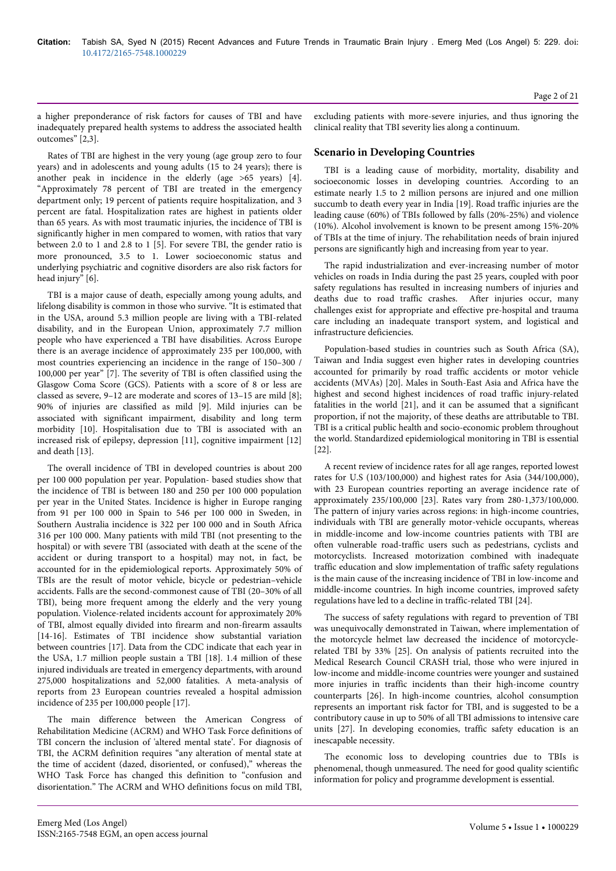a higher preponderance of risk factors for causes of TBI and have inadequately prepared health systems to address the associated health outcomes" [2,3].

Rates of TBI are highest in the very young (age group zero to four years) and in adolescents and young adults (15 to 24 years); there is another peak in incidence in the elderly (age >65 years) [4]. "Approximately 78 percent of TBI are treated in the emergency department only; 19 percent of patients require hospitalization, and 3 percent are fatal. Hospitalization rates are highest in patients older than 65 years. As with most traumatic injuries, the incidence of TBI is significantly higher in men compared to women, with ratios that vary between 2.0 to 1 and 2.8 to 1 [5]. For severe TBI, the gender ratio is more pronounced, 3.5 to 1. Lower socioeconomic status and underlying psychiatric and cognitive disorders are also risk factors for head injury" [6].

TBI is a major cause of death, especially among young adults, and lifelong disability is common in those who survive. "It is estimated that in the USA, around 5.3 million people are living with a TBI-related disability, and in the European Union, approximately 7.7 million people who have experienced a TBI have disabilities. Across Europe there is an average incidence of approximately 235 per 100,000, with most countries experiencing an incidence in the range of 150–300 / 100,000 per year" [7]. The severity of TBI is often classified using the Glasgow Coma Score (GCS). Patients with a score of 8 or less are classed as severe, 9–12 are moderate and scores of 13–15 are mild [8]; 90% of injuries are classified as mild [9]. Mild injuries can be associated with significant impairment, disability and long term morbidity [10]. Hospitalisation due to TBI is associated with an increased risk of epilepsy, depression [11], cognitive impairment [12] and death [13].

The overall incidence of TBI in developed countries is about 200 per 100 000 population per year. Population- based studies show that the incidence of TBI is between 180 and 250 per 100 000 population per year in the United States. Incidence is higher in Europe ranging from 91 per 100 000 in Spain to 546 per 100 000 in Sweden, in Southern Australia incidence is 322 per 100 000 and in South Africa 316 per 100 000. Many patients with mild TBI (not presenting to the hospital) or with severe TBI (associated with death at the scene of the accident or during transport to a hospital) may not, in fact, be accounted for in the epidemiological reports. Approximately 50% of TBIs are the result of motor vehicle, bicycle or pedestrian–vehicle accidents. Falls are the second-commonest cause of TBI (20–30% of all TBI), being more frequent among the elderly and the very young population. Violence-related incidents account for approximately 20% of TBI, almost equally divided into firearm and non-firearm assaults [14-16]. Estimates of TBI incidence show substantial variation between countries [17]. Data from the CDC indicate that each year in the USA, 1.7 million people sustain a TBI [18]. 1.4 million of these injured individuals are treated in emergency departments, with around 275,000 hospitalizations and 52,000 fatalities. A meta-analysis of reports from 23 European countries revealed a hospital admission incidence of 235 per 100,000 people [17].

The main difference between the American Congress of Rehabilitation Medicine (ACRM) and WHO Task Force definitions of TBI concern the inclusion of 'altered mental state'. For diagnosis of TBI, the ACRM definition requires "any alteration of mental state at the time of accident (dazed, disoriented, or confused)," whereas the WHO Task Force has changed this definition to "confusion and disorientation." The ACRM and WHO definitions focus on mild TBI,

excluding patients with more-severe injuries, and thus ignoring the clinical reality that TBI severity lies along a continuum.

## **Scenario in Developing Countries**

TBI is a leading cause of morbidity, mortality, disability and socioeconomic losses in developing countries. According to an estimate nearly 1.5 to 2 million persons are injured and one million succumb to death every year in India [19]. Road traffic injuries are the leading cause (60%) of TBIs followed by falls (20%-25%) and violence (10%). Alcohol involvement is known to be present among 15%-20% of TBIs at the time of injury. The rehabilitation needs of brain injured persons are significantly high and increasing from year to year.

The rapid industrialization and ever-increasing number of motor vehicles on roads in India during the past 25 years, coupled with poor safety regulations has resulted in increasing numbers of injuries and deaths due to road traffic crashes. After injuries occur, many challenges exist for appropriate and effective pre-hospital and trauma care including an inadequate transport system, and logistical and infrastructure deficiencies.

Population-based studies in countries such as South Africa (SA), Taiwan and India suggest even higher rates in developing countries accounted for primarily by road traffic accidents or motor vehicle accidents (MVAs) [20]. Males in South-East Asia and Africa have the highest and second highest incidences of road traffic injury-related fatalities in the world [21], and it can be assumed that a significant proportion, if not the majority, of these deaths are attributable to TBI. TBI is a critical public health and socio-economic problem throughout the world. Standardized epidemiological monitoring in TBI is essential [22].

A recent review of incidence rates for all age ranges, reported lowest rates for U.S (103/100,000) and highest rates for Asia (344/100,000), with 23 European countries reporting an average incidence rate of approximately 235/100,000 [23]. Rates vary from 280-1,373/100,000. The pattern of injury varies across regions: in high-income countries, individuals with TBI are generally motor-vehicle occupants, whereas in middle-income and low-income countries patients with TBI are often vulnerable road-traffic users such as pedestrians, cyclists and motorcyclists. Increased motorization combined with inadequate traffic education and slow implementation of traffic safety regulations is the main cause of the increasing incidence of TBI in low-income and middle-income countries. In high income countries, improved safety regulations have led to a decline in traffic-related TBI [24].

The success of safety regulations with regard to prevention of TBI was unequivocally demonstrated in Taiwan, where implementation of the motorcycle helmet law decreased the incidence of motorcyclerelated TBI by 33% [25]. On analysis of patients recruited into the Medical Research Council CRASH trial, those who were injured in low-income and middle-income countries were younger and sustained more injuries in traffic incidents than their high-income country counterparts [26]. In high-income countries, alcohol consumption represents an important risk factor for TBI, and is suggested to be a contributory cause in up to 50% of all TBI admissions to intensive care units [27]. In developing economies, traffic safety education is an inescapable necessity.

The economic loss to developing countries due to TBIs is phenomenal, though unmeasured. The need for good quality scientific information for policy and programme development is essential.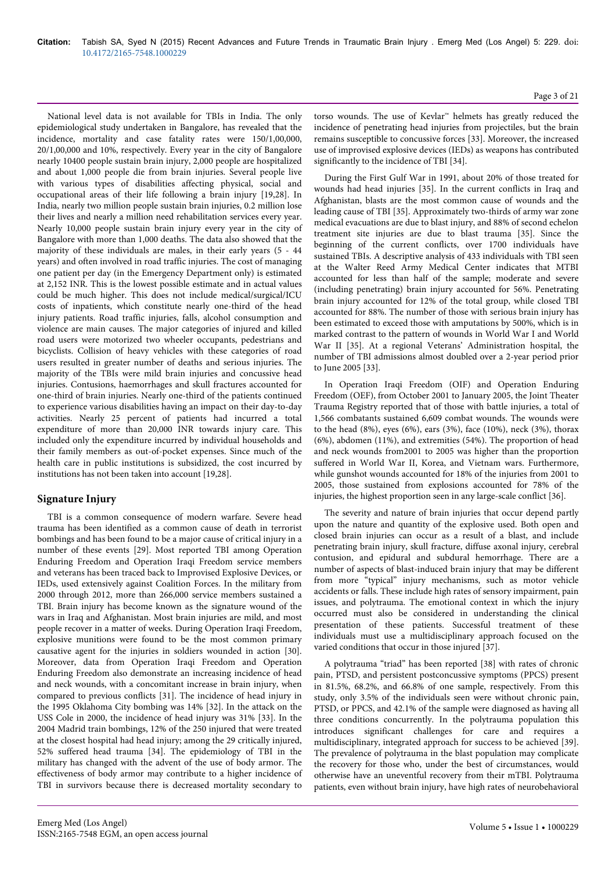National level data is not available for TBIs in India. The only epidemiological study undertaken in Bangalore, has revealed that the incidence, mortality and case fatality rates were 150/1,00,000, 20/1,00,000 and 10%, respectively. Every year in the city of Bangalore nearly 10400 people sustain brain injury, 2,000 people are hospitalized and about 1,000 people die from brain injuries. Several people live with various types of disabilities affecting physical, social and occupational areas of their life following a brain injury [19,28]. In India, nearly two million people sustain brain injuries, 0.2 million lose their lives and nearly a million need rehabilitation services every year. Nearly 10,000 people sustain brain injury every year in the city of Bangalore with more than 1,000 deaths. The data also showed that the majority of these individuals are males, in their early years (5 - 44 years) and often involved in road traffic injuries. The cost of managing one patient per day (in the Emergency Department only) is estimated at 2,152 INR. This is the lowest possible estimate and in actual values could be much higher. This does not include medical/surgical/ICU costs of inpatients, which constitute nearly one-third of the head injury patients. Road traffic injuries, falls, alcohol consumption and violence are main causes. The major categories of injured and killed road users were motorized two wheeler occupants, pedestrians and bicyclists. Collision of heavy vehicles with these categories of road users resulted in greater number of deaths and serious injuries. The majority of the TBIs were mild brain injuries and concussive head injuries. Contusions, haemorrhages and skull fractures accounted for one-third of brain injuries. Nearly one-third of the patients continued to experience various disabilities having an impact on their day-to-day activities. Nearly 25 percent of patients had incurred a total expenditure of more than 20,000 INR towards injury care. This included only the expenditure incurred by individual households and their family members as out-of-pocket expenses. Since much of the health care in public institutions is subsidized, the cost incurred by institutions has not been taken into account [19,28].

## **Signature Injury**

TBI is a common consequence of modern warfare. Severe head trauma has been identified as a common cause of death in terrorist bombings and has been found to be a major cause of critical injury in a number of these events [29]. Most reported TBI among Operation Enduring Freedom and Operation Iraqi Freedom service members and veterans has been traced back to Improvised Explosive Devices, or IEDs, used extensively against Coalition Forces. In the military from 2000 through 2012, more than 266,000 service members sustained a TBI. Brain injury has become known as the signature wound of the wars in Iraq and Afghanistan. Most brain injuries are mild, and most people recover in a matter of weeks. During Operation Iraqi Freedom, explosive munitions were found to be the most common primary causative agent for the injuries in soldiers wounded in action [30]. Moreover, data from Operation Iraqi Freedom and Operation Enduring Freedom also demonstrate an increasing incidence of head and neck wounds, with a concomitant increase in brain injury, when compared to previous conflicts [31]. The incidence of head injury in the 1995 Oklahoma City bombing was 14% [32]. In the attack on the USS Cole in 2000, the incidence of head injury was 31% [33]. In the 2004 Madrid train bombings, 12% of the 250 injured that were treated at the closest hospital had head injury; among the 29 critically injured, 52% suffered head trauma [34]. The epidemiology of TBI in the military has changed with the advent of the use of body armor. The effectiveness of body armor may contribute to a higher incidence of TBI in survivors because there is decreased mortality secondary to torso wounds. The use of Kevlar™ helmets has greatly reduced the incidence of penetrating head injuries from projectiles, but the brain remains susceptible to concussive forces [33]. Moreover, the increased use of improvised explosive devices (IEDs) as weapons has contributed significantly to the incidence of TBI [34].

During the First Gulf War in 1991, about 20% of those treated for wounds had head injuries [35]. In the current conflicts in Iraq and Afghanistan, blasts are the most common cause of wounds and the leading cause of TBI [35]. Approximately two-thirds of army war zone medical evacuations are due to blast injury, and 88% of second echelon treatment site injuries are due to blast trauma [35]. Since the beginning of the current conflicts, over 1700 individuals have sustained TBIs. A descriptive analysis of 433 individuals with TBI seen at the Walter Reed Army Medical Center indicates that MTBI accounted for less than half of the sample; moderate and severe (including penetrating) brain injury accounted for 56%. Penetrating brain injury accounted for 12% of the total group, while closed TBI accounted for 88%. The number of those with serious brain injury has been estimated to exceed those with amputations by 500%, which is in marked contrast to the pattern of wounds in World War I and World War II [35]. At a regional Veterans' Administration hospital, the number of TBI admissions almost doubled over a 2-year period prior to June 2005 [33].

In Operation Iraqi Freedom (OIF) and Operation Enduring Freedom (OEF), from October 2001 to January 2005, the Joint Theater Trauma Registry reported that of those with battle injuries, a total of 1,566 combatants sustained 6,609 combat wounds. The wounds were to the head (8%), eyes (6%), ears (3%), face (10%), neck (3%), thorax (6%), abdomen (11%), and extremities (54%). The proportion of head and neck wounds from2001 to 2005 was higher than the proportion suffered in World War II, Korea, and Vietnam wars. Furthermore, while gunshot wounds accounted for 18% of the injuries from 2001 to 2005, those sustained from explosions accounted for 78% of the injuries, the highest proportion seen in any large-scale conflict [36].

The severity and nature of brain injuries that occur depend partly upon the nature and quantity of the explosive used. Both open and closed brain injuries can occur as a result of a blast, and include penetrating brain injury, skull fracture, diffuse axonal injury, cerebral contusion, and epidural and subdural hemorrhage. There are a number of aspects of blast-induced brain injury that may be different from more "typical" injury mechanisms, such as motor vehicle accidents or falls. These include high rates of sensory impairment, pain issues, and polytrauma. The emotional context in which the injury occurred must also be considered in understanding the clinical presentation of these patients. Successful treatment of these individuals must use a multidisciplinary approach focused on the varied conditions that occur in those injured [37].

A polytrauma "triad" has been reported [38] with rates of chronic pain, PTSD, and persistent postconcussive symptoms (PPCS) present in 81.5%, 68.2%, and 66.8% of one sample, respectively. From this study, only 3.5% of the individuals seen were without chronic pain, PTSD, or PPCS, and 42.1% of the sample were diagnosed as having all three conditions concurrently. In the polytrauma population this introduces significant challenges for care and requires a multidisciplinary, integrated approach for success to be achieved [39]. The prevalence of polytrauma in the blast population may complicate the recovery for those who, under the best of circumstances, would otherwise have an uneventful recovery from their mTBI. Polytrauma patients, even without brain injury, have high rates of neurobehavioral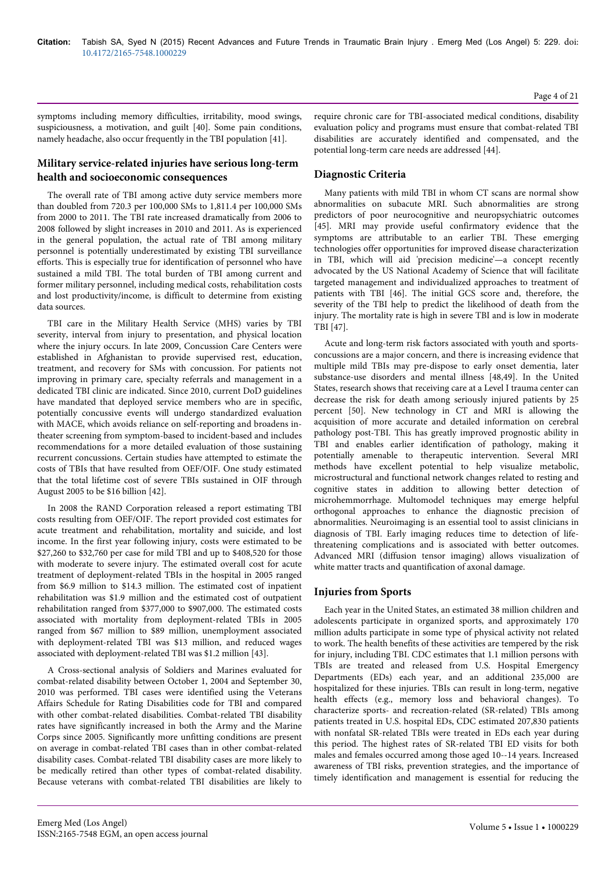symptoms including memory difficulties, irritability, mood swings, suspiciousness, a motivation, and guilt [40]. Some pain conditions, namely headache, also occur frequently in the TBI population [41].

## **Military service-related injuries have serious long-term health and socioeconomic consequences**

The overall rate of TBI among active duty service members more than doubled from 720.3 per 100,000 SMs to 1,811.4 per 100,000 SMs from 2000 to 2011. The TBI rate increased dramatically from 2006 to 2008 followed by slight increases in 2010 and 2011. As is experienced in the general population, the actual rate of TBI among military personnel is potentially underestimated by existing TBI surveillance efforts. This is especially true for identification of personnel who have sustained a mild TBI. The total burden of TBI among current and former military personnel, including medical costs, rehabilitation costs and lost productivity/income, is difficult to determine from existing data sources.

TBI care in the Military Health Service (MHS) varies by TBI severity, interval from injury to presentation, and physical location where the injury occurs. In late 2009, Concussion Care Centers were established in Afghanistan to provide supervised rest, education, treatment, and recovery for SMs with concussion. For patients not improving in primary care, specialty referrals and management in a dedicated TBI clinic are indicated. Since 2010, current DoD guidelines have mandated that deployed service members who are in specific, potentially concussive events will undergo standardized evaluation with MACE, which avoids reliance on self-reporting and broadens intheater screening from symptom-based to incident-based and includes recommendations for a more detailed evaluation of those sustaining recurrent concussions. Certain studies have attempted to estimate the costs of TBIs that have resulted from OEF/OIF. One study estimated that the total lifetime cost of severe TBIs sustained in OIF through August 2005 to be \$16 billion [42].

In 2008 the RAND Corporation released a report estimating TBI costs resulting from OEF/OIF. The report provided cost estimates for acute treatment and rehabilitation, mortality and suicide, and lost income. In the first year following injury, costs were estimated to be \$27,260 to \$32,760 per case for mild TBI and up to \$408,520 for those with moderate to severe injury. The estimated overall cost for acute treatment of deployment-related TBIs in the hospital in 2005 ranged from \$6.9 million to \$14.3 million. The estimated cost of inpatient rehabilitation was \$1.9 million and the estimated cost of outpatient rehabilitation ranged from \$377,000 to \$907,000. The estimated costs associated with mortality from deployment-related TBIs in 2005 ranged from \$67 million to \$89 million, unemployment associated with deployment-related TBI was \$13 million, and reduced wages associated with deployment-related TBI was \$1.2 million [43].

A Cross-sectional analysis of Soldiers and Marines evaluated for combat-related disability between October 1, 2004 and September 30, 2010 was performed. TBI cases were identified using the Veterans Affairs Schedule for Rating Disabilities code for TBI and compared with other combat-related disabilities. Combat-related TBI disability rates have significantly increased in both the Army and the Marine Corps since 2005. Significantly more unfitting conditions are present on average in combat-related TBI cases than in other combat-related disability cases. Combat-related TBI disability cases are more likely to be medically retired than other types of combat-related disability. Because veterans with combat-related TBI disabilities are likely to

require chronic care for TBI-associated medical conditions, disability evaluation policy and programs must ensure that combat-related TBI disabilities are accurately identified and compensated, and the potential long-term care needs are addressed [44].

## **Diagnostic Criteria**

Many patients with mild TBI in whom CT scans are normal show abnormalities on subacute MRI. Such abnormalities are strong predictors of poor neurocognitive and neuropsychiatric outcomes [45]. MRI may provide useful confirmatory evidence that the symptoms are attributable to an earlier TBI. These emerging technologies offer opportunities for improved disease characterization in TBI, which will aid 'precision medicine'—a concept recently advocated by the US National Academy of Science that will facilitate targeted management and individualized approaches to treatment of patients with TBI [46]. The initial GCS score and, therefore, the severity of the TBI help to predict the likelihood of death from the injury. The mortality rate is high in severe TBI and is low in moderate TBI [47].

Acute and long-term risk factors associated with youth and sportsconcussions are a major concern, and there is increasing evidence that multiple mild TBIs may pre-dispose to early onset dementia, later substance-use disorders and mental illness [48,49]. In the United States, research shows that receiving care at a Level I trauma center can decrease the risk for death among seriously injured patients by 25 percent [50]. New technology in CT and MRI is allowing the acquisition of more accurate and detailed information on cerebral pathology post-TBI. This has greatly improved prognostic ability in TBI and enables earlier identification of pathology, making it potentially amenable to therapeutic intervention. Several MRI methods have excellent potential to help visualize metabolic, microstructural and functional network changes related to resting and cognitive states in addition to allowing better detection of microhemmorrhage. Multomodel techniques may emerge helpful orthogonal approaches to enhance the diagnostic precision of abnormalities. Neuroimaging is an essential tool to assist clinicians in diagnosis of TBI. Early imaging reduces time to detection of lifethreatening complications and is associated with better outcomes. Advanced MRI (diffusion tensor imaging) allows visualization of white matter tracts and quantification of axonal damage.

## **Injuries from Sports**

Each year in the United States, an estimated 38 million children and adolescents participate in organized sports, and approximately 170 million adults participate in some type of physical activity not related to work. The health benefits of these activities are tempered by the risk for injury, including TBI. CDC estimates that 1.1 million persons with TBIs are treated and released from U.S. Hospital Emergency Departments (EDs) each year, and an additional 235,000 are hospitalized for these injuries. TBIs can result in long-term, negative health effects (e.g., memory loss and behavioral changes). To characterize sports- and recreation-related (SR-related) TBIs among patients treated in U.S. hospital EDs, CDC estimated 207,830 patients with nonfatal SR-related TBIs were treated in EDs each year during this period. The highest rates of SR-related TBI ED visits for both males and females occurred among those aged 10--14 years. Increased awareness of TBI risks, prevention strategies, and the importance of timely identification and management is essential for reducing the

Page 4 of 21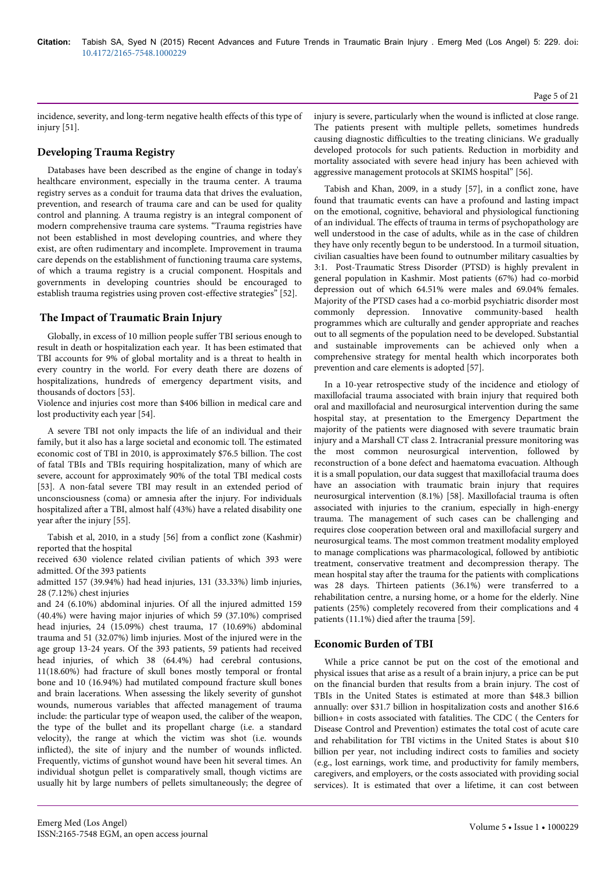incidence, severity, and long-term negative health effects of this type of injury [51].

## **Developing Trauma Registry**

Databases have been described as the engine of change in today's healthcare environment, especially in the trauma center. A trauma registry serves as a conduit for trauma data that drives the evaluation, prevention, and research of trauma care and can be used for quality control and planning. A trauma registry is an integral component of modern comprehensive trauma care systems. "Trauma registries have not been established in most developing countries, and where they exist, are often rudimentary and incomplete. Improvement in trauma care depends on the establishment of functioning trauma care systems, of which a trauma registry is a crucial component. Hospitals and governments in developing countries should be encouraged to establish trauma registries using proven cost-effective strategies" [52].

## **The Impact of Traumatic Brain Injury**

Globally, in excess of 10 million people suffer TBI serious enough to result in death or hospitalization each year. It has been estimated that TBI accounts for 9% of global mortality and is a threat to health in every country in the world. For every death there are dozens of hospitalizations, hundreds of emergency department visits, and thousands of doctors [53].

Violence and injuries cost more than \$406 billion in medical care and lost productivity each year [54].

A severe TBI not only impacts the life of an individual and their family, but it also has a large societal and economic toll. The estimated economic cost of TBI in 2010, is approximately \$76.5 billion. The cost of fatal TBIs and TBIs requiring hospitalization, many of which are severe, account for approximately 90% of the total TBI medical costs [53]. A non-fatal severe TBI may result in an extended period of unconsciousness (coma) or amnesia after the injury. For individuals hospitalized after a TBI, almost half (43%) have a related disability one year after the injury [55].

Tabish et al, 2010, in a study [56] from a conflict zone (Kashmir) reported that the hospital

received 630 violence related civilian patients of which 393 were admitted. Of the 393 patients

admitted 157 (39.94%) had head injuries, 131 (33.33%) limb injuries, 28 (7.12%) chest injuries

and 24 (6.10%) abdominal injuries. Of all the injured admitted 159 (40.4%) were having major injuries of which 59 (37.10%) comprised head injuries, 24 (15.09%) chest trauma, 17 (10.69%) abdominal trauma and 51 (32.07%) limb injuries. Most of the injured were in the age group 13-24 years. Of the 393 patients, 59 patients had received head injuries, of which 38 (64.4%) had cerebral contusions, 11(18.60%) had fracture of skull bones mostly temporal or frontal bone and 10 (16.94%) had mutilated compound fracture skull bones and brain lacerations. When assessing the likely severity of gunshot wounds, numerous variables that affected management of trauma include: the particular type of weapon used, the caliber of the weapon, the type of the bullet and its propellant charge (i.e. a standard velocity), the range at which the victim was shot (i.e. wounds inflicted), the site of injury and the number of wounds inflicted. Frequently, victims of gunshot wound have been hit several times. An individual shotgun pellet is comparatively small, though victims are usually hit by large numbers of pellets simultaneously; the degree of injury is severe, particularly when the wound is inflicted at close range. The patients present with multiple pellets, sometimes hundreds causing diagnostic difficulties to the treating clinicians. We gradually developed protocols for such patients. Reduction in morbidity and mortality associated with severe head injury has been achieved with aggressive management protocols at SKIMS hospital" [56].

Tabish and Khan, 2009, in a study [57], in a conflict zone, have found that traumatic events can have a profound and lasting impact on the emotional, cognitive, behavioral and physiological functioning of an individual. The effects of trauma in terms of psychopathology are well understood in the case of adults, while as in the case of children they have only recently begun to be understood. In a turmoil situation, civilian casualties have been found to outnumber military casualties by 3:1. Post-Traumatic Stress Disorder (PTSD) is highly prevalent in general population in Kashmir. Most patients (67%) had co-morbid depression out of which 64.51% were males and 69.04% females. Majority of the PTSD cases had a co-morbid psychiatric disorder most commonly depression. Innovative community-based health programmes which are culturally and gender appropriate and reaches out to all segments of the population need to be developed. Substantial and sustainable improvements can be achieved only when a comprehensive strategy for mental health which incorporates both prevention and care elements is adopted [57].

In a 10-year retrospective study of the incidence and etiology of maxillofacial trauma associated with brain injury that required both oral and maxillofacial and neurosurgical intervention during the same hospital stay, at presentation to the Emergency Department the majority of the patients were diagnosed with severe traumatic brain injury and a Marshall CT class 2. Intracranial pressure monitoring was the most common neurosurgical intervention, followed by reconstruction of a bone defect and haematoma evacuation. Although it is a small population, our data suggest that maxillofacial trauma does have an association with traumatic brain injury that requires neurosurgical intervention (8.1%) [58]. Maxillofacial trauma is often associated with injuries to the cranium, especially in high-energy trauma. The management of such cases can be challenging and requires close cooperation between oral and maxillofacial surgery and neurosurgical teams. The most common treatment modality employed to manage complications was pharmacological, followed by antibiotic treatment, conservative treatment and decompression therapy. The mean hospital stay after the trauma for the patients with complications was 28 days. Thirteen patients (36.1%) were transferred to a rehabilitation centre, a nursing home, or a home for the elderly. Nine patients (25%) completely recovered from their complications and 4 patients (11.1%) died after the trauma [59].

## **Economic Burden of TBI**

While a price cannot be put on the cost of the emotional and physical issues that arise as a result of a brain injury, a price can be put on the financial burden that results from a brain injury. The cost of TBIs in the United States is estimated at more than \$48.3 billion annually: over \$31.7 billion in hospitalization costs and another \$16.6 billion+ in costs associated with fatalities. The CDC ( the Centers for Disease Control and Prevention) estimates the total cost of acute care and rehabilitation for TBI victims in the United States is about \$10 billion per year, not including indirect costs to families and society (e.g., lost earnings, work time, and productivity for family members, caregivers, and employers, or the costs associated with providing social services). It is estimated that over a lifetime, it can cost between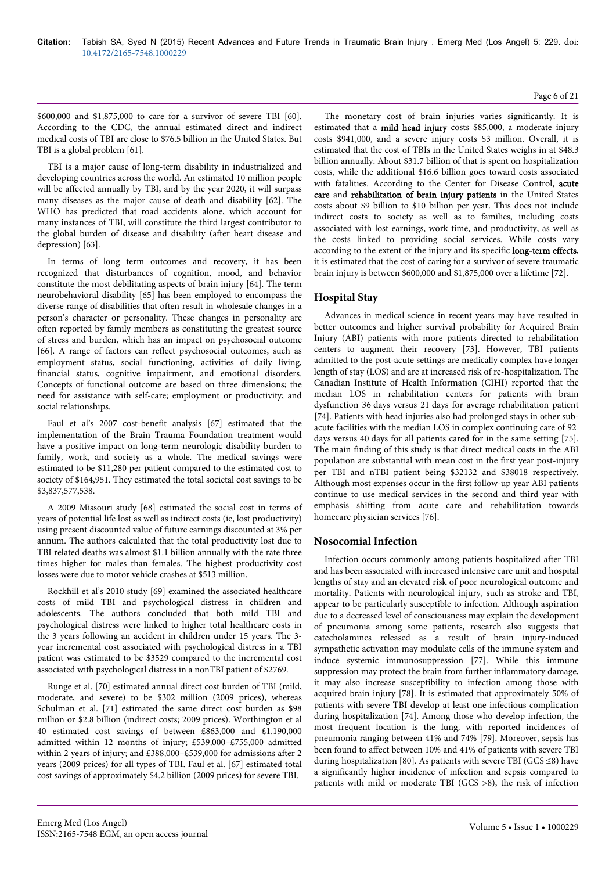\$600,000 and \$1,875,000 to care for a survivor of severe TBI [60]. According to the CDC, the annual estimated direct and indirect medical costs of TBI are close to \$76.5 billion in the United States. But TBI is a global problem [61].

TBI is a major cause of long-term disability in industrialized and developing countries across the world. An estimated 10 million people will be affected annually by TBI, and by the year 2020, it will surpass many diseases as the major cause of death and disability [62]. The WHO has predicted that road accidents alone, which account for many instances of TBI, will constitute the third largest contributor to the global burden of disease and disability (after heart disease and depression) [63].

In terms of long term outcomes and recovery, it has been recognized that disturbances of cognition, mood, and behavior constitute the most debilitating aspects of brain injury [64]. The term neurobehavioral disability [65] has been employed to encompass the diverse range of disabilities that often result in wholesale changes in a person's character or personality. These changes in personality are often reported by family members as constituting the greatest source of stress and burden, which has an impact on psychosocial outcome [66]. A range of factors can reflect psychosocial outcomes, such as employment status, social functioning, activities of daily living, financial status, cognitive impairment, and emotional disorders. Concepts of functional outcome are based on three dimensions; the need for assistance with self-care; employment or productivity; and social relationships.

Faul et al's 2007 cost-benefit analysis [67] estimated that the implementation of the Brain Trauma Foundation treatment would have a positive impact on long-term neurologic disability burden to family, work, and society as a whole. The medical savings were estimated to be \$11,280 per patient compared to the estimated cost to society of \$164,951. They estimated the total societal cost savings to be \$3,837,577,538.

A 2009 Missouri study [68] estimated the social cost in terms of years of potential life lost as well as indirect costs (ie, lost productivity) using present discounted value of future earnings discounted at 3% per annum. The authors calculated that the total productivity lost due to TBI related deaths was almost \$1.1 billion annually with the rate three times higher for males than females. The highest productivity cost losses were due to motor vehicle crashes at \$513 million.

Rockhill et al's 2010 study [69] examined the associated healthcare costs of mild TBI and psychological distress in children and adolescents. The authors concluded that both mild TBI and psychological distress were linked to higher total healthcare costs in the 3 years following an accident in children under 15 years. The 3 year incremental cost associated with psychological distress in a TBI patient was estimated to be \$3529 compared to the incremental cost associated with psychological distress in a nonTBI patient of \$2769.

Runge et al. [70] estimated annual direct cost burden of TBI (mild, moderate, and severe) to be \$302 million (2009 prices), whereas Schulman et al. [71] estimated the same direct cost burden as \$98 million or \$2.8 billion (indirect costs; 2009 prices). Worthington et al 40 estimated cost savings of between £863,000 and £1.190,000 admitted within 12 months of injury; £539,000–£755,000 admitted within 2 years of injury; and £388,000–£539,000 for admissions after 2 years (2009 prices) for all types of TBI. Faul et al. [67] estimated total cost savings of approximately \$4.2 billion (2009 prices) for severe TBI.

The monetary cost of brain injuries varies significantly. It is estimated that a mild head injury costs \$85,000, a moderate injury costs \$941,000, and a severe injury costs \$3 million. Overall, it is estimated that the cost of TBIs in the United States weighs in at \$48.3 billion annually. About \$31.7 billion of that is spent on hospitalization costs, while the additional \$16.6 billion goes toward costs associated with fatalities. According to the Center for Disease Control, acute care and rehabilitation of brain injury patients in the United States costs about \$9 billion to \$10 billion per year. This does not include indirect costs to society as well as to families, including costs associated with lost earnings, work time, and productivity, as well as the costs linked to providing social services. While costs vary according to the extent of the injury and its specific long-term effects, it is estimated that the cost of caring for a survivor of severe traumatic brain injury is between \$600,000 and \$1,875,000 over a lifetime [72].

## **Hospital Stay**

Advances in medical science in recent years may have resulted in better outcomes and higher survival probability for Acquired Brain Injury (ABI) patients with more patients directed to rehabilitation centers to augment their recovery [73]. However, TBI patients admitted to the post-acute settings are medically complex have longer length of stay (LOS) and are at increased risk of re-hospitalization. The Canadian Institute of Health Information (CIHI) reported that the median LOS in rehabilitation centers for patients with brain dysfunction 36 days versus 21 days for average rehabilitation patient [74]. Patients with head injuries also had prolonged stays in other subacute facilities with the median LOS in complex continuing care of 92 days versus 40 days for all patients cared for in the same setting [75]. The main finding of this study is that direct medical costs in the ABI population are substantial with mean cost in the first year post-injury per TBI and nTBI patient being \$32132 and \$38018 respectively. Although most expenses occur in the first follow-up year ABI patients continue to use medical services in the second and third year with emphasis shifting from acute care and rehabilitation towards homecare physician services [76].

## **Nosocomial Infection**

Infection occurs commonly among patients hospitalized after TBI and has been associated with increased intensive care unit and hospital lengths of stay and an elevated risk of poor neurological outcome and mortality. Patients with neurological injury, such as stroke and TBI, appear to be particularly susceptible to infection. Although aspiration due to a decreased level of consciousness may explain the development of pneumonia among some patients, research also suggests that catecholamines released as a result of brain injury-induced sympathetic activation may modulate cells of the immune system and induce systemic immunosuppression [77]. While this immune suppression may protect the brain from further inflammatory damage, it may also increase susceptibility to infection among those with acquired brain injury [78]. It is estimated that approximately 50% of patients with severe TBI develop at least one infectious complication during hospitalization [74]. Among those who develop infection, the most frequent location is the lung, with reported incidences of pneumonia ranging between 41% and 74% [79]. Moreover, sepsis has been found to affect between 10% and 41% of patients with severe TBI during hospitalization [80]. As patients with severe TBI (GCS  $\leq$ 8) have a significantly higher incidence of infection and sepsis compared to patients with mild or moderate TBI (GCS >8), the risk of infection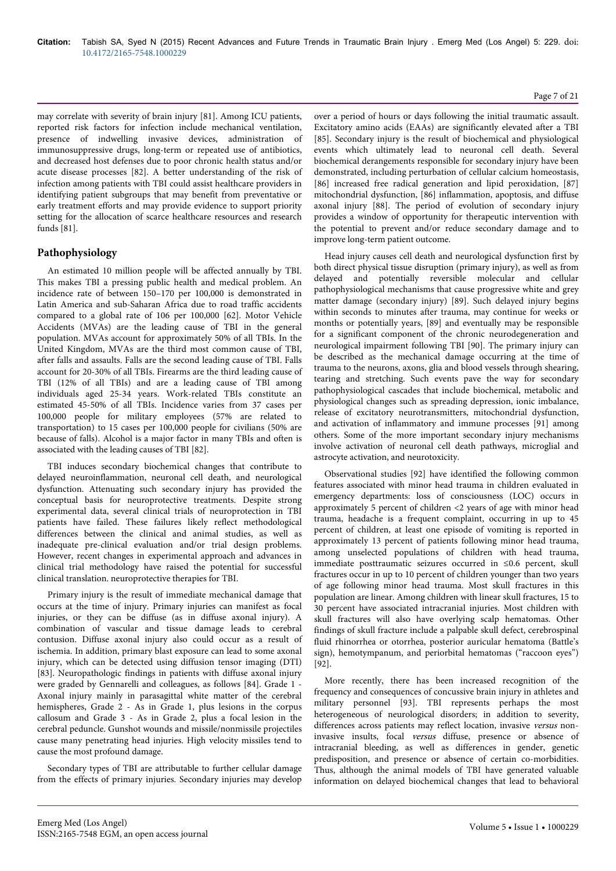may correlate with severity of brain injury [81]. Among ICU patients, reported risk factors for infection include mechanical ventilation, presence of indwelling invasive devices, administration of immunosuppressive drugs, long-term or repeated use of antibiotics, and decreased host defenses due to poor chronic health status and/or acute disease processes [82]. A better understanding of the risk of infection among patients with TBI could assist healthcare providers in identifying patient subgroups that may benefit from preventative or early treatment efforts and may provide evidence to support priority setting for the allocation of scarce healthcare resources and research funds [81].

## **Pathophysiology**

An estimated 10 million people will be affected annually by TBI. This makes TBI a pressing public health and medical problem. An incidence rate of between 150–170 per 100,000 is demonstrated in Latin America and sub-Saharan Africa due to road traffic accidents compared to a global rate of 106 per 100,000 [62]. Motor Vehicle Accidents (MVAs) are the leading cause of TBI in the general population. MVAs account for approximately 50% of all TBIs. In the United Kingdom, MVAs are the third most common cause of TBI, after falls and assaults. Falls are the second leading cause of TBI. Falls account for 20-30% of all TBIs. Firearms are the third leading cause of TBI (12% of all TBIs) and are a leading cause of TBI among individuals aged 25-34 years. Work-related TBIs constitute an estimated 45-50% of all TBIs. Incidence varies from 37 cases per 100,000 people for military employees (57% are related to transportation) to 15 cases per 100,000 people for civilians (50% are because of falls). Alcohol is a major factor in many TBIs and often is associated with the leading causes of TBI [82].

TBI induces secondary biochemical changes that contribute to delayed neuroinflammation, neuronal cell death, and neurological dysfunction. Attenuating such secondary injury has provided the conceptual basis for neuroprotective treatments. Despite strong experimental data, several clinical trials of neuroprotection in TBI patients have failed. These failures likely reflect methodological differences between the clinical and animal studies, as well as inadequate pre-clinical evaluation and/or trial design problems. However, recent changes in experimental approach and advances in clinical trial methodology have raised the potential for successful clinical translation. neuroprotective therapies for TBI.

Primary injury is the result of immediate mechanical damage that occurs at the time of injury. Primary injuries can manifest as focal injuries, or they can be diffuse (as in diffuse axonal injury). A combination of vascular and tissue damage leads to cerebral contusion. Diffuse axonal injury also could occur as a result of ischemia. In addition, primary blast exposure can lead to some axonal injury, which can be detected using diffusion tensor imaging (DTI) [83]. Neuropathologic findings in patients with diffuse axonal injury were graded by Gennarelli and colleagues, as follows [84]. Grade 1 - Axonal injury mainly in parasagittal white matter of the cerebral hemispheres, Grade 2 - As in Grade 1, plus lesions in the corpus callosum and Grade 3 - As in Grade 2, plus a focal lesion in the cerebral peduncle. Gunshot wounds and missile/nonmissile projectiles cause many penetrating head injuries. High velocity missiles tend to cause the most profound damage.

Secondary types of TBI are attributable to further cellular damage from the effects of primary injuries. Secondary injuries may develop

#### Page 7 of 21

over a period of hours or days following the initial traumatic assault. Excitatory amino acids (EAAs) are significantly elevated after a TBI [85]. Secondary injury is the result of biochemical and physiological events which ultimately lead to neuronal cell death. Several biochemical derangements responsible for secondary injury have been demonstrated, including perturbation of cellular calcium homeostasis, [86] increased free radical generation and lipid peroxidation, [87] mitochondrial dysfunction, [86] inflammation, apoptosis, and diffuse axonal injury [88]. The period of evolution of secondary injury provides a window of opportunity for therapeutic intervention with the potential to prevent and/or reduce secondary damage and to improve long-term patient outcome.

Head injury causes cell death and neurological dysfunction first by both direct physical tissue disruption (primary injury), as well as from delayed and potentially reversible molecular and cellular pathophysiological mechanisms that cause progressive white and grey matter damage (secondary injury) [89]. Such delayed injury begins within seconds to minutes after trauma, may continue for weeks or months or potentially years, [89] and eventually may be responsible for a significant component of the chronic neurodegeneration and neurological impairment following TBI [90]. The primary injury can be described as the mechanical damage occurring at the time of trauma to the neurons, axons, glia and blood vessels through shearing, tearing and stretching. Such events pave the way for secondary pathophysiological cascades that include biochemical, metabolic and physiological changes such as spreading depression, ionic imbalance, release of excitatory neurotransmitters, mitochondrial dysfunction, and activation of inflammatory and immune processes [91] among others. Some of the more important secondary injury mechanisms involve activation of neuronal cell death pathways, microglial and astrocyte activation, and neurotoxicity.

Observational studies [92] have identified the following common features associated with minor head trauma in children evaluated in emergency departments: loss of consciousness (LOC) occurs in approximately 5 percent of children <2 years of age with minor head trauma, headache is a frequent complaint, occurring in up to 45 percent of children, at least one episode of vomiting is reported in approximately 13 percent of patients following minor head trauma, among unselected populations of children with head trauma, immediate posttraumatic seizures occurred in ≤0.6 percent, skull fractures occur in up to 10 percent of children younger than two years of age following minor head trauma. Most skull fractures in this population are linear. Among children with linear skull fractures, 15 to 30 percent have associated intracranial injuries. Most children with skull fractures will also have overlying scalp hematomas. Other findings of skull fracture include a palpable skull defect, cerebrospinal fluid rhinorrhea or otorrhea, posterior auricular hematoma (Battle's sign), hemotympanum, and periorbital hematomas ("raccoon eyes") [92].

More recently, there has been increased recognition of the frequency and consequences of concussive brain injury in athletes and military personnel [93]. TBI represents perhaps the most heterogeneous of neurological disorders; in addition to severity, differences across patients may reflect location, invasive versus noninvasive insults, focal versus diffuse, presence or absence of intracranial bleeding, as well as differences in gender, genetic predisposition, and presence or absence of certain co-morbidities. Thus, although the animal models of TBI have generated valuable information on delayed biochemical changes that lead to behavioral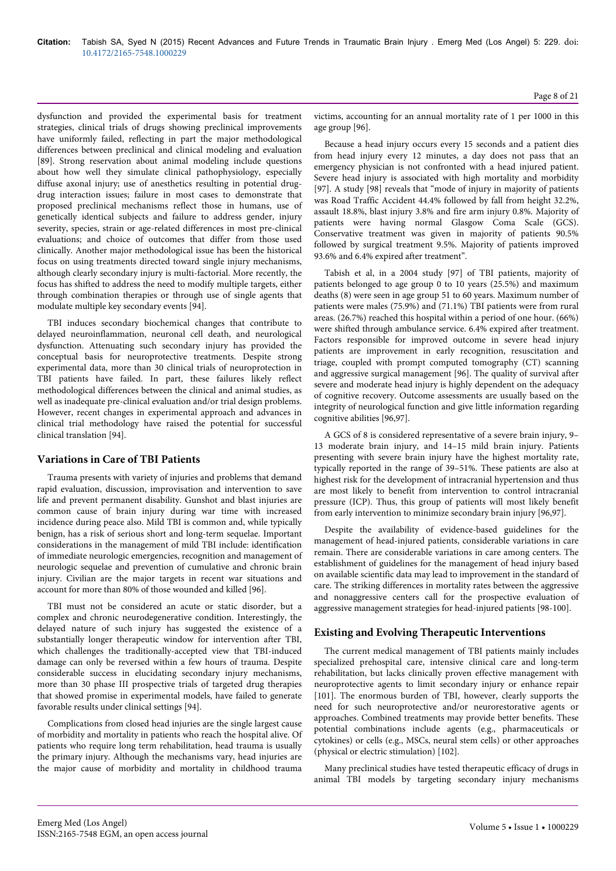dysfunction and provided the experimental basis for treatment strategies, clinical trials of drugs showing preclinical improvements have uniformly failed, reflecting in part the major methodological differences between preclinical and clinical modeling and evaluation [89]. Strong reservation about animal modeling include questions about how well they simulate clinical pathophysiology, especially diffuse axonal injury; use of anesthetics resulting in potential drugdrug interaction issues; failure in most cases to demonstrate that proposed preclinical mechanisms reflect those in humans, use of genetically identical subjects and failure to address gender, injury severity, species, strain or age-related differences in most pre-clinical evaluations; and choice of outcomes that differ from those used clinically. Another major methodological issue has been the historical focus on using treatments directed toward single injury mechanisms, although clearly secondary injury is multi-factorial. More recently, the focus has shifted to address the need to modify multiple targets, either through combination therapies or through use of single agents that modulate multiple key secondary events [94].

TBI induces secondary biochemical changes that contribute to delayed neuroinflammation, neuronal cell death, and neurological dysfunction. Attenuating such secondary injury has provided the conceptual basis for neuroprotective treatments. Despite strong experimental data, more than 30 clinical trials of neuroprotection in TBI patients have failed. In part, these failures likely reflect methodological differences between the clinical and animal studies, as well as inadequate pre-clinical evaluation and/or trial design problems. However, recent changes in experimental approach and advances in clinical trial methodology have raised the potential for successful clinical translation [94].

## **Variations in Care of TBI Patients**

Trauma presents with variety of injuries and problems that demand rapid evaluation, discussion, improvisation and intervention to save life and prevent permanent disability. Gunshot and blast injuries are common cause of brain injury during war time with increased incidence during peace also. Mild TBI is common and, while typically benign, has a risk of serious short and long-term sequelae. Important considerations in the management of mild TBI include: identification of immediate neurologic emergencies, recognition and management of neurologic sequelae and prevention of cumulative and chronic brain injury. Civilian are the major targets in recent war situations and account for more than 80% of those wounded and killed [96].

TBI must not be considered an acute or static disorder, but a complex and chronic neurodegenerative condition. Interestingly, the delayed nature of such injury has suggested the existence of a substantially longer therapeutic window for intervention after TBI, which challenges the traditionally-accepted view that TBI-induced damage can only be reversed within a few hours of trauma. Despite considerable success in elucidating secondary injury mechanisms, more than 30 phase III prospective trials of targeted drug therapies that showed promise in experimental models, have failed to generate favorable results under clinical settings [94].

Complications from closed head injuries are the single largest cause of morbidity and mortality in patients who reach the hospital alive. Of patients who require long term rehabilitation, head trauma is usually the primary injury. Although the mechanisms vary, head injuries are the major cause of morbidity and mortality in childhood trauma victims, accounting for an annual mortality rate of 1 per 1000 in this age group [96].

Because a head injury occurs every 15 seconds and a patient dies from head injury every 12 minutes, a day does not pass that an emergency physician is not confronted with a head injured patient. Severe head injury is associated with high mortality and morbidity [97]. A study [98] reveals that "mode of injury in majority of patients was Road Traffic Accident 44.4% followed by fall from height 32.2%, assault 18.8%, blast injury 3.8% and fire arm injury 0.8%. Majority of patients were having normal Glasgow Coma Scale (GCS). Conservative treatment was given in majority of patients 90.5% followed by surgical treatment 9.5%. Majority of patients improved 93.6% and 6.4% expired after treatment".

Tabish et al, in a 2004 study [97] of TBI patients, majority of patients belonged to age group 0 to 10 years (25.5%) and maximum deaths (8) were seen in age group 51 to 60 years. Maximum number of patients were males (75.9%) and (71.1%) TBI patients were from rural areas. (26.7%) reached this hospital within a period of one hour. (66%) were shifted through ambulance service. 6.4% expired after treatment. Factors responsible for improved outcome in severe head injury patients are improvement in early recognition, resuscitation and triage, coupled with prompt computed tomography (CT) scanning and aggressive surgical management [96]. The quality of survival after severe and moderate head injury is highly dependent on the adequacy of cognitive recovery. Outcome assessments are usually based on the integrity of neurological function and give little information regarding cognitive abilities [96,97].

A GCS of 8 is considered representative of a severe brain injury, 9– 13 moderate brain injury, and 14–15 mild brain injury. Patients presenting with severe brain injury have the highest mortality rate, typically reported in the range of 39–51%. These patients are also at highest risk for the development of intracranial hypertension and thus are most likely to benefit from intervention to control intracranial pressure (ICP). Thus, this group of patients will most likely benefit from early intervention to minimize secondary brain injury [96,97].

Despite the availability of evidence-based guidelines for the management of head-injured patients, considerable variations in care remain. There are considerable variations in care among centers. The establishment of guidelines for the management of head injury based on available scientific data may lead to improvement in the standard of care. The striking differences in mortality rates between the aggressive and nonaggressive centers call for the prospective evaluation of aggressive management strategies for head-injured patients [98-100].

## **Existing and Evolving Therapeutic Interventions**

The current medical management of TBI patients mainly includes specialized prehospital care, intensive clinical care and long-term rehabilitation, but lacks clinically proven effective management with neuroprotective agents to limit secondary injury or enhance repair [101]. The enormous burden of TBI, however, clearly supports the need for such neuroprotective and/or neurorestorative agents or approaches. Combined treatments may provide better benefits. These potential combinations include agents (e.g., pharmaceuticals or cytokines) or cells (e.g., MSCs, neural stem cells) or other approaches (physical or electric stimulation) [102].

Many preclinical studies have tested therapeutic efficacy of drugs in animal TBI models by targeting secondary injury mechanisms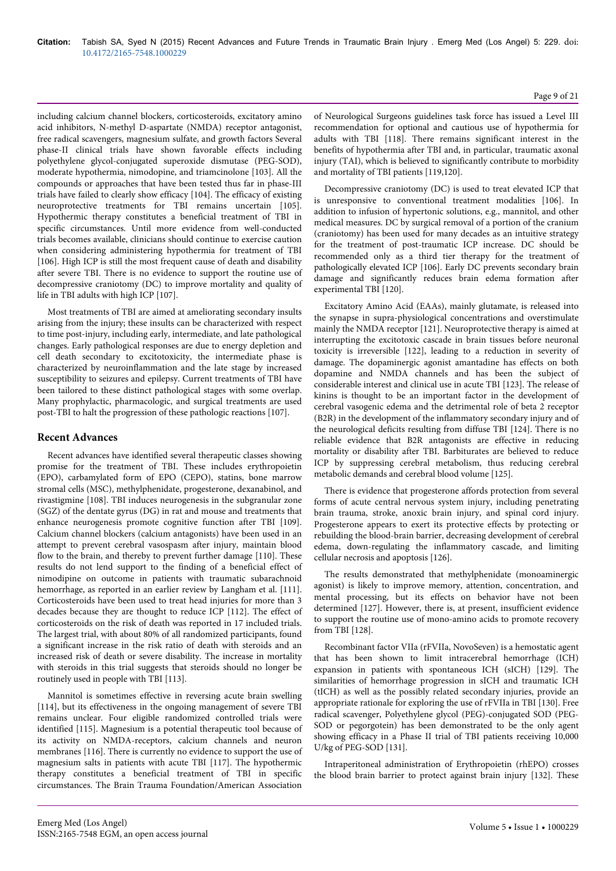including calcium channel blockers, corticosteroids, excitatory amino acid inhibitors, N-methyl D-aspartate (NMDA) receptor antagonist, free radical scavengers, magnesium sulfate, and growth factors Several phase-II clinical trials have shown favorable effects including polyethylene glycol-conjugated superoxide dismutase (PEG-SOD), moderate hypothermia, nimodopine, and triamcinolone [103]. All the compounds or approaches that have been tested thus far in phase-III trials have failed to clearly show efficacy [104]. The efficacy of existing neuroprotective treatments for TBI remains uncertain [105]. Hypothermic therapy constitutes a beneficial treatment of TBI in specific circumstances. Until more evidence from well-conducted trials becomes available, clinicians should continue to exercise caution when considering administering hypothermia for treatment of TBI [106]. High ICP is still the most frequent cause of death and disability after severe TBI. There is no evidence to support the routine use of decompressive craniotomy (DC) to improve mortality and quality of life in TBI adults with high ICP [107].

Most treatments of TBI are aimed at ameliorating secondary insults arising from the injury; these insults can be characterized with respect to time post-injury, including early, intermediate, and late pathological changes. Early pathological responses are due to energy depletion and cell death secondary to excitotoxicity, the intermediate phase is characterized by neuroinflammation and the late stage by increased susceptibility to seizures and epilepsy. Current treatments of TBI have been tailored to these distinct pathological stages with some overlap. Many prophylactic, pharmacologic, and surgical treatments are used post-TBI to halt the progression of these pathologic reactions [107].

## **Recent Advances**

Recent advances have identified several therapeutic classes showing promise for the treatment of TBI. These includes erythropoietin (EPO), carbamylated form of EPO (CEPO), statins, bone marrow stromal cells (MSC), methylphenidate, progesterone, dexanabinol, and rivastigmine [108]. TBI induces neurogenesis in the subgranular zone (SGZ) of the dentate gyrus (DG) in rat and mouse and treatments that enhance neurogenesis promote cognitive function after TBI [109]. Calcium channel blockers (calcium antagonists) have been used in an attempt to prevent cerebral vasospasm after injury, maintain blood flow to the brain, and thereby to prevent further damage [110]. These results do not lend support to the finding of a beneficial effect of nimodipine on outcome in patients with traumatic subarachnoid hemorrhage, as reported in an earlier review by Langham et al. [111]. Corticosteroids have been used to treat head injuries for more than 3 decades because they are thought to reduce ICP [112]. The effect of corticosteroids on the risk of death was reported in 17 included trials. The largest trial, with about 80% of all randomized participants, found a significant increase in the risk ratio of death with steroids and an increased risk of death or severe disability. The increase in mortality with steroids in this trial suggests that steroids should no longer be routinely used in people with TBI [113].

Mannitol is sometimes effective in reversing acute brain swelling [114], but its effectiveness in the ongoing management of severe TBI remains unclear. Four eligible randomized controlled trials were identified [115]. Magnesium is a potential therapeutic tool because of its activity on NMDA-receptors, calcium channels and neuron membranes [116]. There is currently no evidence to support the use of magnesium salts in patients with acute TBI [117]. The hypothermic therapy constitutes a beneficial treatment of TBI in specific circumstances. The Brain Trauma Foundation/American Association

of Neurological Surgeons guidelines task force has issued a Level III recommendation for optional and cautious use of hypothermia for adults with TBI [118]. There remains significant interest in the benefits of hypothermia after TBI and, in particular, traumatic axonal injury (TAI), which is believed to significantly contribute to morbidity and mortality of TBI patients [119,120].

Decompressive craniotomy (DC) is used to treat elevated ICP that is unresponsive to conventional treatment modalities [106]. In addition to infusion of hypertonic solutions, e.g., mannitol, and other medical measures. DC by surgical removal of a portion of the cranium (craniotomy) has been used for many decades as an intuitive strategy for the treatment of post-traumatic ICP increase. DC should be recommended only as a third tier therapy for the treatment of pathologically elevated ICP [106]. Early DC prevents secondary brain damage and significantly reduces brain edema formation after experimental TBI [120].

Excitatory Amino Acid (EAAs), mainly glutamate, is released into the synapse in supra-physiological concentrations and overstimulate mainly the NMDA receptor [121]. Neuroprotective therapy is aimed at interrupting the excitotoxic cascade in brain tissues before neuronal toxicity is irreversible [122], leading to a reduction in severity of damage. The dopaminergic agonist amantadine has effects on both dopamine and NMDA channels and has been the subject of considerable interest and clinical use in acute TBI [123]. The release of kinins is thought to be an important factor in the development of cerebral vasogenic edema and the detrimental role of beta 2 receptor (B2R) in the development of the inflammatory secondary injury and of the neurological deficits resulting from diffuse TBI [124]. There is no reliable evidence that B2R antagonists are effective in reducing mortality or disability after TBI. Barbiturates are believed to reduce ICP by suppressing cerebral metabolism, thus reducing cerebral metabolic demands and cerebral blood volume [125].

There is evidence that progesterone affords protection from several forms of acute central nervous system injury, including penetrating brain trauma, stroke, anoxic brain injury, and spinal cord injury. Progesterone appears to exert its protective effects by protecting or rebuilding the blood-brain barrier, decreasing development of cerebral edema, down-regulating the inflammatory cascade, and limiting cellular necrosis and apoptosis [126].

The results demonstrated that methylphenidate (monoaminergic agonist) is likely to improve memory, attention, concentration, and mental processing, but its effects on behavior have not been determined [127]. However, there is, at present, insufficient evidence to support the routine use of mono-amino acids to promote recovery from TBI [128].

Recombinant factor VIIa (rFVIIa, NovoSeven) is a hemostatic agent that has been shown to limit intracerebral hemorrhage (ICH) expansion in patients with spontaneous ICH (sICH) [129]. The similarities of hemorrhage progression in sICH and traumatic ICH (tICH) as well as the possibly related secondary injuries, provide an appropriate rationale for exploring the use of rFVIIa in TBI [130]. Free radical scavenger, Polyethylene glycol (PEG)-conjugated SOD (PEG-SOD or pegorgotein) has been demonstrated to be the only agent showing efficacy in a Phase II trial of TBI patients receiving 10,000 U/kg of PEG-SOD [131].

Intraperitoneal administration of Erythropoietin (rhEPO) crosses the blood brain barrier to protect against brain injury [132]. These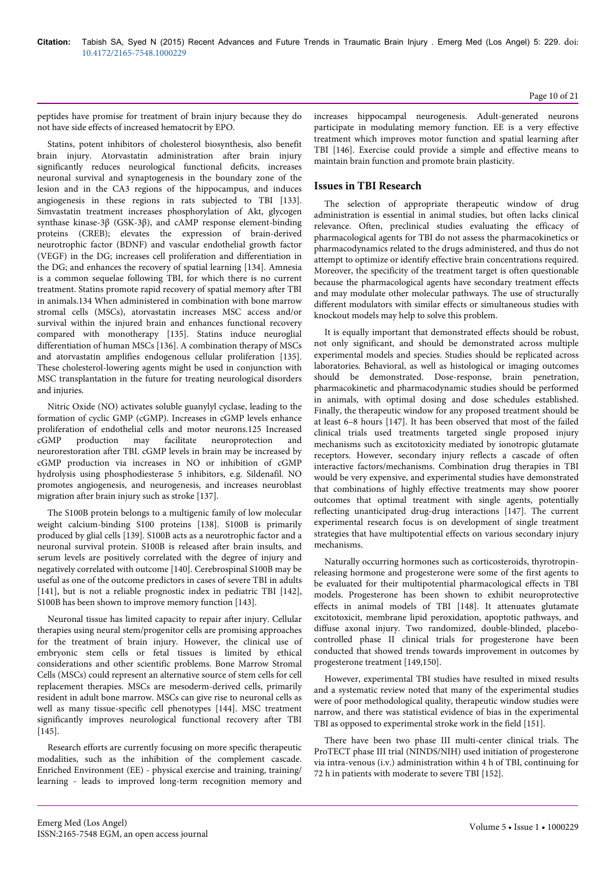peptides have promise for treatment of brain injury because they do not have side effects of increased hematocrit by EPO.

Statins, potent inhibitors of cholesterol biosynthesis, also benefit brain injury. Atorvastatin administration after brain injury significantly reduces neurological functional deficits, increases neuronal survival and synaptogenesis in the boundary zone of the lesion and in the CA3 regions of the hippocampus, and induces angiogenesis in these regions in rats subjected to TBI [133]. Simvastatin treatment increases phosphorylation of Akt, glycogen synthase kinase-3β (GSK-3β), and cAMP response element-binding proteins (CREB); elevates the expression of brain-derived neurotrophic factor (BDNF) and vascular endothelial growth factor (VEGF) in the DG; increases cell proliferation and differentiation in the DG; and enhances the recovery of spatial learning [134]. Amnesia is a common sequelae following TBI, for which there is no current treatment. Statins promote rapid recovery of spatial memory after TBI in animals.134 When administered in combination with bone marrow stromal cells (MSCs), atorvastatin increases MSC access and/or survival within the injured brain and enhances functional recovery compared with monotherapy [135]. Statins induce neuroglial differentiation of human MSCs [136]. A combination therapy of MSCs and atorvastatin amplifies endogenous cellular proliferation [135]. These cholesterol-lowering agents might be used in conjunction with MSC transplantation in the future for treating neurological disorders and injuries.

Nitric Oxide (NO) activates soluble guanylyl cyclase, leading to the formation of cyclic GMP (cGMP). Increases in cGMP levels enhance proliferation of endothelial cells and motor neurons.125 Increased cGMP production may facilitate neuroprotection and neurorestoration after TBI. cGMP levels in brain may be increased by cGMP production via increases in NO or inhibition of cGMP hydrolysis using phosphodiesterase 5 inhibitors, e.g. Sildenafil. NO promotes angiogenesis, and neurogenesis, and increases neuroblast migration after brain injury such as stroke [137].

The S100B protein belongs to a multigenic family of low molecular weight calcium-binding S100 proteins [138]. S100B is primarily produced by glial cells [139]. S100B acts as a neurotrophic factor and a neuronal survival protein. S100B is released after brain insults, and serum levels are positively correlated with the degree of injury and negatively correlated with outcome [140]. Cerebrospinal S100B may be useful as one of the outcome predictors in cases of severe TBI in adults [141], but is not a reliable prognostic index in pediatric TBI [142], S100B has been shown to improve memory function [143].

Neuronal tissue has limited capacity to repair after injury. Cellular therapies using neural stem/progenitor cells are promising approaches for the treatment of brain injury. However, the clinical use of embryonic stem cells or fetal tissues is limited by ethical considerations and other scientific problems. Bone Marrow Stromal Cells (MSCs) could represent an alternative source of stem cells for cell replacement therapies. MSCs are mesoderm-derived cells, primarily resident in adult bone marrow. MSCs can give rise to neuronal cells as well as many tissue-specific cell phenotypes [144]. MSC treatment significantly improves neurological functional recovery after TBI [145].

Research efforts are currently focusing on more specific therapeutic modalities, such as the inhibition of the complement cascade. Enriched Environment (EE) - physical exercise and training, training/ learning - leads to improved long-term recognition memory and

increases hippocampal neurogenesis. Adult-generated neurons participate in modulating memory function. EE is a very effective treatment which improves motor function and spatial learning after TBI [146]. Exercise could provide a simple and effective means to maintain brain function and promote brain plasticity.

## **Issues in TBI Research**

The selection of appropriate therapeutic window of drug administration is essential in animal studies, but often lacks clinical relevance. Often, preclinical studies evaluating the efficacy of pharmacological agents for TBI do not assess the pharmacokinetics or pharmacodynamics related to the drugs administered, and thus do not attempt to optimize or identify effective brain concentrations required. Moreover, the specificity of the treatment target is often questionable because the pharmacological agents have secondary treatment effects and may modulate other molecular pathways. The use of structurally different modulators with similar effects or simultaneous studies with knockout models may help to solve this problem.

It is equally important that demonstrated effects should be robust, not only significant, and should be demonstrated across multiple experimental models and species. Studies should be replicated across laboratories. Behavioral, as well as histological or imaging outcomes should be demonstrated. Dose-response, brain penetration, pharmacokinetic and pharmacodynamic studies should be performed in animals, with optimal dosing and dose schedules established. Finally, the therapeutic window for any proposed treatment should be at least 6–8 hours [147]. It has been observed that most of the failed clinical trials used treatments targeted single proposed injury mechanisms such as excitotoxicity mediated by ionotropic glutamate receptors. However, secondary injury reflects a cascade of often interactive factors/mechanisms. Combination drug therapies in TBI would be very expensive, and experimental studies have demonstrated that combinations of highly effective treatments may show poorer outcomes that optimal treatment with single agents, potentially reflecting unanticipated drug-drug interactions [147]. The current experimental research focus is on development of single treatment strategies that have multipotential effects on various secondary injury mechanisms.

Naturally occurring hormones such as corticosteroids, thyrotropinreleasing hormone and progesterone were some of the first agents to be evaluated for their multipotential pharmacological effects in TBI models. Progesterone has been shown to exhibit neuroprotective effects in animal models of TBI [148]. It attenuates glutamate excitotoxicit, membrane lipid peroxidation, apoptotic pathways, and diffuse axonal injury. Two randomized, double-blinded, placebocontrolled phase II clinical trials for progesterone have been conducted that showed trends towards improvement in outcomes by progesterone treatment [149,150].

However, experimental TBI studies have resulted in mixed results and a systematic review noted that many of the experimental studies were of poor methodological quality, therapeutic window studies were narrow, and there was statistical evidence of bias in the experimental TBI as opposed to experimental stroke work in the field [151].

There have been two phase III multi-center clinical trials. The ProTECT phase III trial (NINDS/NIH) used initiation of progesterone via intra-venous (i.v.) administration within 4 h of TBI, continuing for 72 h in patients with moderate to severe TBI [152].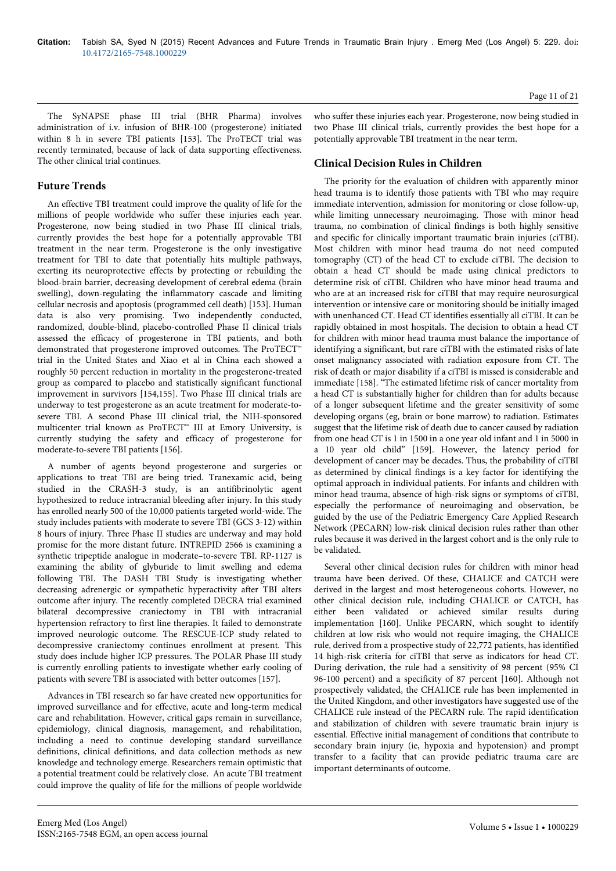The SyNAPSE phase III trial (BHR Pharma) involves administration of i.v. infusion of BHR-100 (progesterone) initiated within 8 h in severe TBI patients [153]. The ProTECT trial was recently terminated, because of lack of data supporting effectiveness. The other clinical trial continues.

## **Future Trends**

An effective TBI treatment could improve the quality of life for the millions of people worldwide who suffer these injuries each year. Progesterone, now being studied in two Phase III clinical trials, currently provides the best hope for a potentially approvable TBI treatment in the near term. Progesterone is the only investigative treatment for TBI to date that potentially hits multiple pathways, exerting its neuroprotective effects by protecting or rebuilding the blood-brain barrier, decreasing development of cerebral edema (brain swelling), down-regulating the inflammatory cascade and limiting cellular necrosis and apoptosis (programmed cell death) [153]. Human data is also very promising. Two independently conducted, randomized, double-blind, placebo-controlled Phase II clinical trials assessed the efficacy of progesterone in TBI patients, and both demonstrated that progesterone improved outcomes. The ProTECT™ trial in the United States and Xiao et al in China each showed a roughly 50 percent reduction in mortality in the progesterone-treated group as compared to placebo and statistically significant functional improvement in survivors [154,155]. Two Phase III clinical trials are underway to test progesterone as an acute treatment for moderate-tosevere TBI. A second Phase III clinical trial, the NIH-sponsored multicenter trial known as ProTECT™ III at Emory University, is currently studying the safety and efficacy of progesterone for moderate-to-severe TBI patients [156].

A number of agents beyond progesterone and surgeries or applications to treat TBI are being tried. Tranexamic acid, being studied in the CRASH-3 study, is an antifibrinolytic agent hypothesized to reduce intracranial bleeding after injury. In this study has enrolled nearly 500 of the 10,000 patients targeted world-wide. The study includes patients with moderate to severe TBI (GCS 3-12) within 8 hours of injury. Three Phase II studies are underway and may hold promise for the more distant future. INTREPID 2566 is examining a synthetic tripeptide analogue in moderate–to-severe TBI. RP-1127 is examining the ability of glyburide to limit swelling and edema following TBI. The DASH TBI Study is investigating whether decreasing adrenergic or sympathetic hyperactivity after TBI alters outcome after injury. The recently completed DECRA trial examined bilateral decompressive craniectomy in TBI with intracranial hypertension refractory to first line therapies. It failed to demonstrate improved neurologic outcome. The RESCUE-ICP study related to decompressive craniectomy continues enrollment at present. This study does include higher ICP pressures. The POLAR Phase III study is currently enrolling patients to investigate whether early cooling of patients with severe TBI is associated with better outcomes [157].

Advances in TBI research so far have created new opportunities for improved surveillance and for effective, acute and long-term medical care and rehabilitation. However, critical gaps remain in surveillance, epidemiology, clinical diagnosis, management, and rehabilitation, including a need to continue developing standard surveillance definitions, clinical definitions, and data collection methods as new knowledge and technology emerge. Researchers remain optimistic that a potential treatment could be relatively close. An acute TBI treatment could improve the quality of life for the millions of people worldwide

## **Clinical Decision Rules in Children**

The priority for the evaluation of children with apparently minor head trauma is to identify those patients with TBI who may require immediate intervention, admission for monitoring or close follow-up, while limiting unnecessary neuroimaging. Those with minor head trauma, no combination of clinical findings is both highly sensitive and specific for clinically important traumatic brain injuries (ciTBI). Most children with minor head trauma do not need computed tomography (CT) of the head CT to exclude ciTBI. The decision to obtain a head CT should be made using clinical predictors to determine risk of ciTBI. Children who have minor head trauma and who are at an increased risk for ciTBI that may require neurosurgical intervention or intensive care or monitoring should be initially imaged with unenhanced CT. Head CT identifies essentially all ciTBI. It can be rapidly obtained in most hospitals. The decision to obtain a head CT for children with minor head trauma must balance the importance of identifying a significant, but rare ciTBI with the estimated risks of late onset malignancy associated with radiation exposure from CT. The risk of death or major disability if a ciTBI is missed is considerable and immediate [158]. "The estimated lifetime risk of cancer mortality from a head CT is substantially higher for children than for adults because of a longer subsequent lifetime and the greater sensitivity of some developing organs (eg, brain or bone marrow) to radiation. Estimates suggest that the lifetime risk of death due to cancer caused by radiation from one head CT is 1 in 1500 in a one year old infant and 1 in 5000 in a 10 year old child" [159]. However, the latency period for development of cancer may be decades. Thus, the probability of ciTBI as determined by clinical findings is a key factor for identifying the optimal approach in individual patients. For infants and children with minor head trauma, absence of high-risk signs or symptoms of ciTBI, especially the performance of neuroimaging and observation, be guided by the use of the Pediatric Emergency Care Applied Research Network (PECARN) low-risk clinical decision rules rather than other rules because it was derived in the largest cohort and is the only rule to be validated.

Several other clinical decision rules for children with minor head trauma have been derived. Of these, CHALICE and CATCH were derived in the largest and most heterogeneous cohorts. However, no other clinical decision rule, including CHALICE or CATCH, has either been validated or achieved similar results during implementation [160]. Unlike PECARN, which sought to identify children at low risk who would not require imaging, the CHALICE rule, derived from a prospective study of 22,772 patients, has identified 14 high-risk criteria for ciTBI that serve as indicators for head CT. During derivation, the rule had a sensitivity of 98 percent (95% CI 96-100 percent) and a specificity of 87 percent [160]. Although not prospectively validated, the CHALICE rule has been implemented in the United Kingdom, and other investigators have suggested use of the CHALICE rule instead of the PECARN rule. The rapid identification and stabilization of children with severe traumatic brain injury is essential. Effective initial management of conditions that contribute to secondary brain injury (ie, hypoxia and hypotension) and prompt transfer to a facility that can provide pediatric trauma care are important determinants of outcome.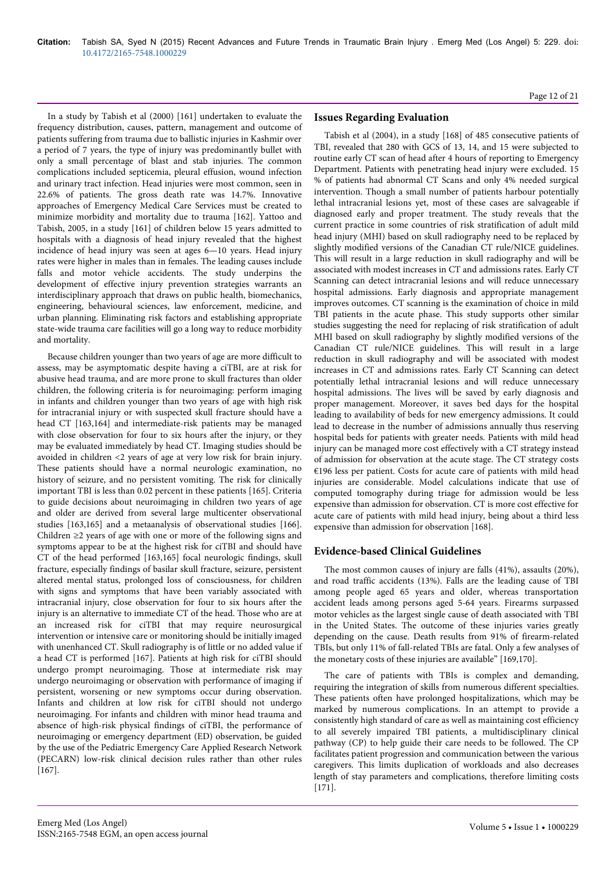In a study by Tabish et al (2000) [161] undertaken to evaluate the frequency distribution, causes, pattern, management and outcome of patients suffering from trauma due to ballistic injuries in Kashmir over a period of 7 years, the type of injury was predominantly bullet with only a small percentage of blast and stab injuries. The common complications included septicemia, pleural effusion, wound infection and urinary tract infection. Head injuries were most common, seen in 22.6% of patients. The gross death rate was 14.7%. Innovative approaches of Emergency Medical Care Services must be created to minimize morbidity and mortality due to trauma [162]. Yattoo and Tabish, 2005, in a study [161] of children below 15 years admitted to hospitals with a diagnosis of head injury revealed that the highest incidence of head injury was seen at ages 6—10 years. Head injury rates were higher in males than in females. The leading causes include falls and motor vehicle accidents. The study underpins the development of effective injury prevention strategies warrants an interdisciplinary approach that draws on public health, biomechanics, engineering, behavioural sciences, law enforcement, medicine, and urban planning. Eliminating risk factors and establishing appropriate state-wide trauma care facilities will go a long way to reduce morbidity and mortality.

Because children younger than two years of age are more difficult to assess, may be asymptomatic despite having a ciTBI, are at risk for abusive head trauma, and are more prone to skull fractures than older children, the following criteria is for neuroimaging: perform imaging in infants and children younger than two years of age with high risk for intracranial injury or with suspected skull fracture should have a head CT [163,164] and intermediate-risk patients may be managed with close observation for four to six hours after the injury, or they may be evaluated immediately by head CT. Imaging studies should be avoided in children <2 years of age at very low risk for brain injury. These patients should have a normal neurologic examination, no history of seizure, and no persistent vomiting. The risk for clinically important TBI is less than 0.02 percent in these patients [165]. Criteria to guide decisions about neuroimaging in children two years of age and older are derived from several large multicenter observational studies [163,165] and a metaanalysis of observational studies [166]. Children ≥2 years of age with one or more of the following signs and symptoms appear to be at the highest risk for ciTBI and should have CT of the head performed [163,165] focal neurologic findings, skull fracture, especially findings of basilar skull fracture, seizure, persistent altered mental status, prolonged loss of consciousness, for children with signs and symptoms that have been variably associated with intracranial injury, close observation for four to six hours after the injury is an alternative to immediate CT of the head. Those who are at an increased risk for ciTBI that may require neurosurgical intervention or intensive care or monitoring should be initially imaged with unenhanced CT. Skull radiography is of little or no added value if a head CT is performed [167]. Patients at high risk for ciTBI should undergo prompt neuroimaging. Those at intermediate risk may undergo neuroimaging or observation with performance of imaging if persistent, worsening or new symptoms occur during observation. Infants and children at low risk for ciTBI should not undergo neuroimaging. For infants and children with minor head trauma and absence of high-risk physical findings of ciTBI, the performance of neuroimaging or emergency department (ED) observation, be guided by the use of the Pediatric Emergency Care Applied Research Network (PECARN) low-risk clinical decision rules rather than other rules [167].

Tabish et al (2004), in a study [168] of 485 consecutive patients of TBI, revealed that 280 with GCS of 13, 14, and 15 were subjected to routine early CT scan of head after 4 hours of reporting to Emergency Department. Patients with penetrating head injury were excluded. 15 % of patients had abnormal CT Scans and only 4% needed surgical intervention. Though a small number of patients harbour potentially lethal intracranial lesions yet, most of these cases are salvageable if diagnosed early and proper treatment. The study reveals that the current practice in some countries of risk stratification of adult mild head injury (MHI) based on skull radiography need to be replaced by slightly modified versions of the Canadian CT rule/NICE guidelines. This will result in a large reduction in skull radiography and will be associated with modest increases in CT and admissions rates. Early CT Scanning can detect intracranial lesions and will reduce unnecessary hospital admissions. Early diagnosis and appropriate management improves outcomes. CT scanning is the examination of choice in mild TBI patients in the acute phase. This study supports other similar studies suggesting the need for replacing of risk stratification of adult MHI based on skull radiography by slightly modified versions of the Canadian CT rule/NICE guidelines. This will result in a large reduction in skull radiography and will be associated with modest increases in CT and admissions rates. Early CT Scanning can detect potentially lethal intracranial lesions and will reduce unnecessary hospital admissions. The lives will be saved by early diagnosis and proper management. Moreover, it saves bed days for the hospital leading to availability of beds for new emergency admissions. It could lead to decrease in the number of admissions annually thus reserving hospital beds for patients with greater needs. Patients with mild head injury can be managed more cost effectively with a CT strategy instead of admission for observation at the acute stage. The CT strategy costs €196 less per patient. Costs for acute care of patients with mild head injuries are considerable. Model calculations indicate that use of computed tomography during triage for admission would be less expensive than admission for observation. CT is more cost effective for acute care of patients with mild head injury, being about a third less expensive than admission for observation [168].

## **Evidence-based Clinical Guidelines**

The most common causes of injury are falls (41%), assaults (20%), and road traffic accidents (13%). Falls are the leading cause of TBI among people aged 65 years and older, whereas transportation accident leads among persons aged 5-64 years. Firearms surpassed motor vehicles as the largest single cause of death associated with TBI in the United States. The outcome of these injuries varies greatly depending on the cause. Death results from 91% of firearm-related TBIs, but only 11% of fall-related TBIs are fatal. Only a few analyses of the monetary costs of these injuries are available" [169,170].

The care of patients with TBIs is complex and demanding, requiring the integration of skills from numerous different specialties. These patients often have prolonged hospitalizations, which may be marked by numerous complications. In an attempt to provide a consistently high standard of care as well as maintaining cost efficiency to all severely impaired TBI patients, a multidisciplinary clinical pathway (CP) to help guide their care needs to be followed. The CP facilitates patient progression and communication between the various caregivers. This limits duplication of workloads and also decreases length of stay parameters and complications, therefore limiting costs [171].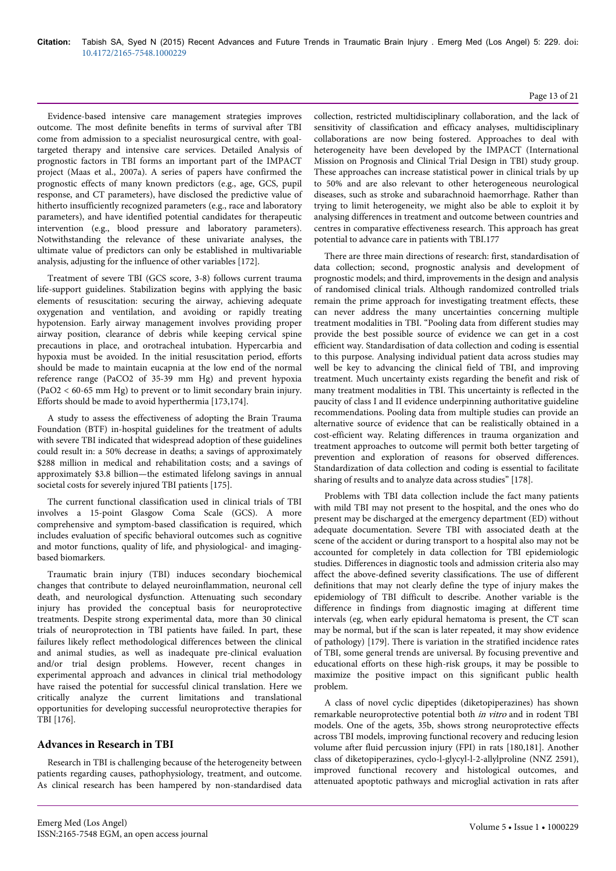Evidence-based intensive care management strategies improves outcome. The most definite benefits in terms of survival after TBI come from admission to a specialist neurosurgical centre, with goaltargeted therapy and intensive care services. Detailed Analysis of prognostic factors in TBI forms an important part of the IMPACT project (Maas et al., 2007a). A series of papers have confirmed the prognostic effects of many known predictors (e.g., age, GCS, pupil response, and CT parameters), have disclosed the predictive value of hitherto insufficiently recognized parameters (e.g., race and laboratory parameters), and have identified potential candidates for therapeutic intervention (e.g., blood pressure and laboratory parameters). Notwithstanding the relevance of these univariate analyses, the ultimate value of predictors can only be established in multivariable analysis, adjusting for the influence of other variables [172].

Treatment of severe TBI (GCS score, 3-8) follows current trauma life-support guidelines. Stabilization begins with applying the basic elements of resuscitation: securing the airway, achieving adequate oxygenation and ventilation, and avoiding or rapidly treating hypotension. Early airway management involves providing proper airway position, clearance of debris while keeping cervical spine precautions in place, and orotracheal intubation. Hypercarbia and hypoxia must be avoided. In the initial resuscitation period, efforts should be made to maintain eucapnia at the low end of the normal reference range (PaCO2 of 35-39 mm Hg) and prevent hypoxia (PaO2 < 60-65 mm Hg) to prevent or to limit secondary brain injury. Efforts should be made to avoid hyperthermia [173,174].

A study to assess the effectiveness of adopting the Brain Trauma Foundation (BTF) in-hospital guidelines for the treatment of adults with severe TBI indicated that widespread adoption of these guidelines could result in: a 50% decrease in deaths; a savings of approximately \$288 million in medical and rehabilitation costs; and a savings of approximately \$3.8 billion—the estimated lifelong savings in annual societal costs for severely injured TBI patients [175].

The current functional classification used in clinical trials of TBI involves a 15-point Glasgow Coma Scale (GCS). A more comprehensive and symptom-based classification is required, which includes evaluation of specific behavioral outcomes such as cognitive and motor functions, quality of life, and physiological- and imagingbased biomarkers.

Traumatic brain injury (TBI) induces secondary biochemical changes that contribute to delayed neuroinflammation, neuronal cell death, and neurological dysfunction. Attenuating such secondary injury has provided the conceptual basis for neuroprotective treatments. Despite strong experimental data, more than 30 clinical trials of neuroprotection in TBI patients have failed. In part, these failures likely reflect methodological differences between the clinical and animal studies, as well as inadequate pre-clinical evaluation and/or trial design problems. However, recent changes in experimental approach and advances in clinical trial methodology have raised the potential for successful clinical translation. Here we critically analyze the current limitations and translational opportunities for developing successful neuroprotective therapies for TBI [176].

## **Advances in Research in TBI**

Research in TBI is challenging because of the heterogeneity between patients regarding causes, pathophysiology, treatment, and outcome. As clinical research has been hampered by non-standardised data collection, restricted multidisciplinary collaboration, and the lack of sensitivity of classification and efficacy analyses, multidisciplinary collaborations are now being fostered. Approaches to deal with heterogeneity have been developed by the IMPACT (International Mission on Prognosis and Clinical Trial Design in TBI) study group. These approaches can increase statistical power in clinical trials by up to 50% and are also relevant to other heterogeneous neurological diseases, such as stroke and subarachnoid haemorrhage. Rather than trying to limit heterogeneity, we might also be able to exploit it by analysing differences in treatment and outcome between countries and centres in comparative effectiveness research. This approach has great potential to advance care in patients with TBI.177

There are three main directions of research: first, standardisation of data collection; second, prognostic analysis and development of prognostic models; and third, improvements in the design and analysis of randomised clinical trials. Although randomized controlled trials remain the prime approach for investigating treatment effects, these can never address the many uncertainties concerning multiple treatment modalities in TBI. "Pooling data from different studies may provide the best possible source of evidence we can get in a cost efficient way. Standardisation of data collection and coding is essential to this purpose. Analysing individual patient data across studies may well be key to advancing the clinical field of TBI, and improving treatment. Much uncertainty exists regarding the benefit and risk of many treatment modalities in TBI. This uncertainty is reflected in the paucity of class I and II evidence underpinning authoritative guideline recommendations. Pooling data from multiple studies can provide an alternative source of evidence that can be realistically obtained in a cost-efficient way. Relating differences in trauma organization and treatment approaches to outcome will permit both better targeting of prevention and exploration of reasons for observed differences. Standardization of data collection and coding is essential to facilitate sharing of results and to analyze data across studies" [178].

Problems with TBI data collection include the fact many patients with mild TBI may not present to the hospital, and the ones who do present may be discharged at the emergency department (ED) without adequate documentation. Severe TBI with associated death at the scene of the accident or during transport to a hospital also may not be accounted for completely in data collection for TBI epidemiologic studies. Differences in diagnostic tools and admission criteria also may affect the above-defined severity classifications. The use of different definitions that may not clearly define the type of injury makes the epidemiology of TBI difficult to describe. Another variable is the difference in findings from diagnostic imaging at different time intervals (eg, when early epidural hematoma is present, the CT scan may be normal, but if the scan is later repeated, it may show evidence of pathology) [179]. There is variation in the stratified incidence rates of TBI, some general trends are universal. By focusing preventive and educational efforts on these high-risk groups, it may be possible to maximize the positive impact on this significant public health problem.

A class of novel cyclic dipeptides (diketopiperazines) has shown remarkable neuroprotective potential both in vitro and in rodent TBI models. One of the agets, 35b, shows strong neuroprotective effects across TBI models, improving functional recovery and reducing lesion volume after fluid percussion injury (FPI) in rats [180,181]. Another class of diketopiperazines, cyclo-l-glycyl-l-2-allylproline (NNZ 2591), improved functional recovery and histological outcomes, and attenuated apoptotic pathways and microglial activation in rats after

## Page 13 of 21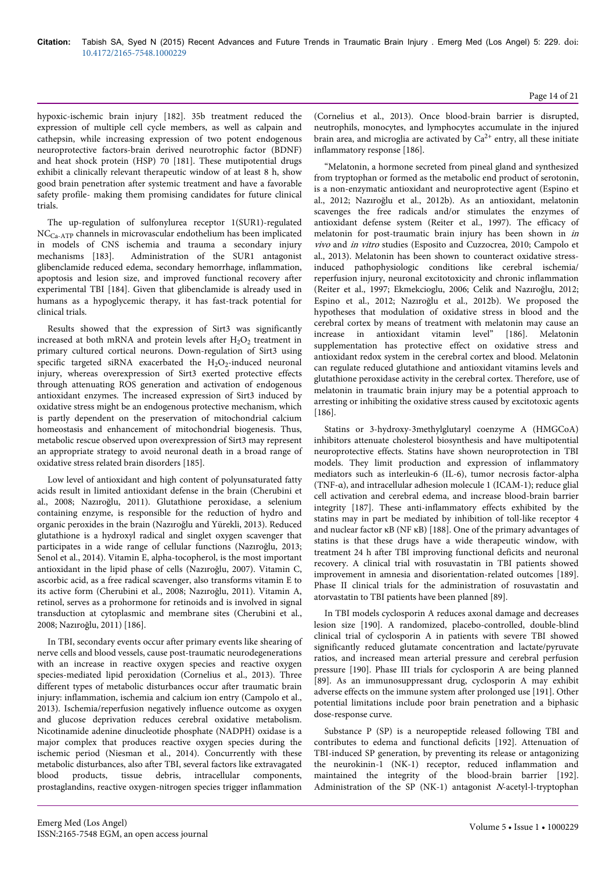hypoxic-ischemic brain injury [182]. 35b treatment reduced the expression of multiple cell cycle members, as well as calpain and cathepsin, while increasing expression of two potent endogenous neuroprotective factors-brain derived neurotrophic factor (BDNF) and heat shock protein (HSP) 70 [181]. These mutipotential drugs exhibit a clinically relevant therapeutic window of at least 8 h, show good brain penetration after systemic treatment and have a favorable safety profile- making them promising candidates for future clinical trials.

The up-regulation of sulfonylurea receptor 1(SUR1)-regulated NCCa-ATP channels in microvascular endothelium has been implicated in models of CNS ischemia and trauma a secondary injury mechanisms [183]. Administration of the SUR1 antagonist glibenclamide reduced edema, secondary hemorrhage, inflammation, apoptosis and lesion size, and improved functional recovery after experimental TBI [184]. Given that glibenclamide is already used in humans as a hypoglycemic therapy, it has fast-track potential for clinical trials.

Results showed that the expression of Sirt3 was significantly increased at both mRNA and protein levels after  $H_2O_2$  treatment in primary cultured cortical neurons. Down-regulation of Sirt3 using specific targeted siRNA exacerbated the  $H_2O_2$ -induced neuronal injury, whereas overexpression of Sirt3 exerted protective effects through attenuating ROS generation and activation of endogenous antioxidant enzymes. The increased expression of Sirt3 induced by oxidative stress might be an endogenous protective mechanism, which is partly dependent on the preservation of mitochondrial calcium homeostasis and enhancement of mitochondrial biogenesis. Thus, metabolic rescue observed upon overexpression of Sirt3 may represent an appropriate strategy to avoid neuronal death in a broad range of oxidative stress related brain disorders [185].

Low level of antioxidant and high content of polyunsaturated fatty acids result in limited antioxidant defense in the brain (Cherubini et al., 2008; Nazıroğlu, 2011). Glutathione peroxidase, a selenium containing enzyme, is responsible for the reduction of hydro and organic peroxides in the brain (Nazıroğlu and Yürekli, 2013). Reduced glutathione is a hydroxyl radical and singlet oxygen scavenger that participates in a wide range of cellular functions (Nazıroğlu, 2013; Senol et al., 2014). Vitamin E, alpha-tocopherol, is the most important antioxidant in the lipid phase of cells (Nazıroğlu, 2007). Vitamin C, ascorbic acid, as a free radical scavenger, also transforms vitamin E to its active form (Cherubini et al., 2008; Nazıroğlu, 2011). Vitamin A, retinol, serves as a prohormone for retinoids and is involved in signal transduction at cytoplasmic and membrane sites (Cherubini et al., 2008; Nazıroğlu, 2011) [186].

In TBI, secondary events occur after primary events like shearing of nerve cells and blood vessels, cause post-traumatic neurodegenerations with an increase in reactive oxygen species and reactive oxygen species-mediated lipid peroxidation (Cornelius et al., 2013). Three different types of metabolic disturbances occur after traumatic brain injury: inflammation, ischemia and calcium ion entry (Campolo et al., 2013). Ischemia/reperfusion negatively influence outcome as oxygen and glucose deprivation reduces cerebral oxidative metabolism. Nicotinamide adenine dinucleotide phosphate (NADPH) oxidase is a major complex that produces reactive oxygen species during the ischemic period (Niesman et al., 2014). Concurrently with these metabolic disturbances, also after TBI, several factors like extravagated blood products, tissue debris, intracellular components, prostaglandins, reactive oxygen-nitrogen species trigger inflammation

(Cornelius et al., 2013). Once blood-brain barrier is disrupted, neutrophils, monocytes, and lymphocytes accumulate in the injured brain area, and microglia are activated by  $Ca^{2+}$  entry, all these initiate inflammatory response [186].

"Melatonin, a hormone secreted from pineal gland and synthesized from tryptophan or formed as the metabolic end product of serotonin, is a non-enzymatic antioxidant and neuroprotective agent (Espino et al., 2012; Nazıroğlu et al., 2012b). As an antioxidant, melatonin scavenges the free radicals and/or stimulates the enzymes of antioxidant defense system (Reiter et al., 1997). The efficacy of melatonin for post-traumatic brain injury has been shown in in vivo and in vitro studies (Esposito and Cuzzocrea, 2010; Campolo et al., 2013). Melatonin has been shown to counteract oxidative stressinduced pathophysiologic conditions like cerebral ischemia/ reperfusion injury, neuronal excitotoxicity and chronic inflammation (Reiter et al., 1997; Ekmekcioglu, 2006; Celik and Nazıroğlu, 2012; Espino et al., 2012; Nazıroğlu et al., 2012b). We proposed the hypotheses that modulation of oxidative stress in blood and the cerebral cortex by means of treatment with melatonin may cause an increase in antioxidant vitamin level" [186]. Melatonin supplementation has protective effect on oxidative stress and antioxidant redox system in the cerebral cortex and blood. Melatonin can regulate reduced glutathione and antioxidant vitamins levels and glutathione peroxidase activity in the cerebral cortex. Therefore, use of melatonin in traumatic brain injury may be a potential approach to arresting or inhibiting the oxidative stress caused by excitotoxic agents [186].

Statins or 3-hydroxy-3methylglutaryl coenzyme A (HMGCoA) inhibitors attenuate cholesterol biosynthesis and have multipotential neuroprotective effects. Statins have shown neuroprotection in TBI models. They limit production and expression of inflammatory mediators such as interleukin-6 (IL-6), tumor necrosis factor-alpha (TNF-α), and intracellular adhesion molecule 1 (ICAM-1); reduce glial cell activation and cerebral edema, and increase blood-brain barrier integrity [187]. These anti-inflammatory effects exhibited by the statins may in part be mediated by inhibition of toll-like receptor 4 and nuclear factor κB (NF κB) [188]. One of the primary advantages of statins is that these drugs have a wide therapeutic window, with treatment 24 h after TBI improving functional deficits and neuronal recovery. A clinical trial with rosuvastatin in TBI patients showed improvement in amnesia and disorientation-related outcomes [189]. Phase II clinical trials for the administration of rosuvastatin and atorvastatin to TBI patients have been planned [89].

In TBI models cyclosporin A reduces axonal damage and decreases lesion size [190]. A randomized, placebo-controlled, double-blind clinical trial of cyclosporin A in patients with severe TBI showed significantly reduced glutamate concentration and lactate/pyruvate ratios, and increased mean arterial pressure and cerebral perfusion pressure [190]. Phase III trials for cyclosporin A are being planned [89]. As an immunosuppressant drug, cyclosporin A may exhibit adverse effects on the immune system after prolonged use [191]. Other potential limitations include poor brain penetration and a biphasic dose-response curve.

Substance P (SP) is a neuropeptide released following TBI and contributes to edema and functional deficits [192]. Attenuation of TBI-induced SP generation, by preventing its release or antagonizing the neurokinin-1 (NK-1) receptor, reduced inflammation and maintained the integrity of the blood-brain barrier [192]. Administration of the SP (NK-1) antagonist N-acetyl-l-tryptophan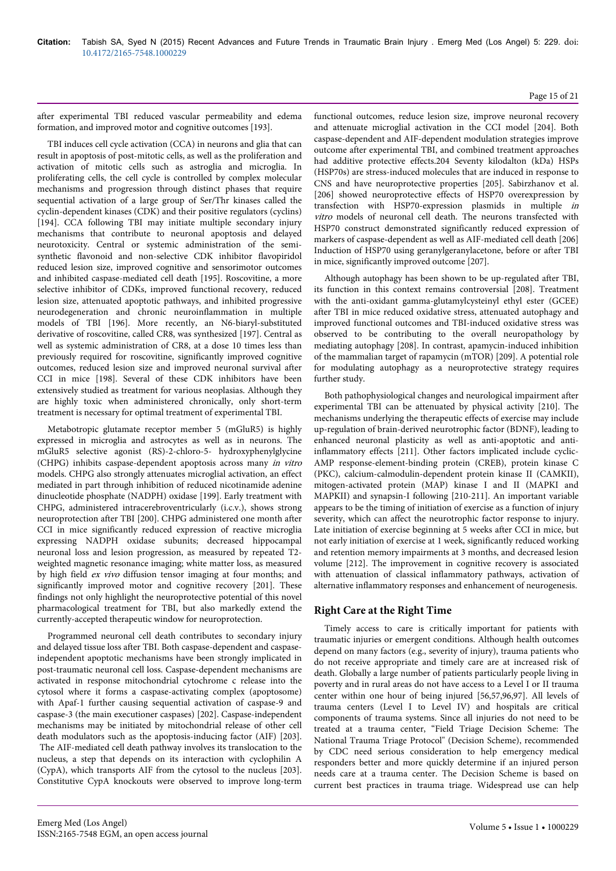## Page 15 of 21

after experimental TBI reduced vascular permeability and edema formation, and improved motor and cognitive outcomes [193].

TBI induces cell cycle activation (CCA) in neurons and glia that can result in apoptosis of post-mitotic cells, as well as the proliferation and activation of mitotic cells such as astroglia and microglia. In proliferating cells, the cell cycle is controlled by complex molecular mechanisms and progression through distinct phases that require sequential activation of a large group of Ser/Thr kinases called the cyclin-dependent kinases (CDK) and their positive regulators (cyclins) [194]. CCA following TBI may initiate multiple secondary injury mechanisms that contribute to neuronal apoptosis and delayed neurotoxicity. Central or systemic administration of the semisynthetic flavonoid and non-selective CDK inhibitor flavopiridol reduced lesion size, improved cognitive and sensorimotor outcomes and inhibited caspase-mediated cell death [195]. Roscovitine, a more selective inhibitor of CDKs, improved functional recovery, reduced lesion size, attenuated apoptotic pathways, and inhibited progressive neurodegeneration and chronic neuroinflammation in multiple models of TBI [196]. More recently, an N6-biaryl-substituted derivative of roscovitine, called CR8, was synthesized [197]. Central as well as systemic administration of CR8, at a dose 10 times less than previously required for roscovitine, significantly improved cognitive outcomes, reduced lesion size and improved neuronal survival after CCI in mice [198]. Several of these CDK inhibitors have been extensively studied as treatment for various neoplasias. Although they are highly toxic when administered chronically, only short-term treatment is necessary for optimal treatment of experimental TBI.

Metabotropic glutamate receptor member 5 (mGluR5) is highly expressed in microglia and astrocytes as well as in neurons. The mGluR5 selective agonist (RS)-2-chloro-5- hydroxyphenylglycine (CHPG) inhibits caspase-dependent apoptosis across many in vitro models. CHPG also strongly attenuates microglial activation, an effect mediated in part through inhibition of reduced nicotinamide adenine dinucleotide phosphate (NADPH) oxidase [199]. Early treatment with CHPG, administered intracerebroventricularly (i.c.v.), shows strong neuroprotection after TBI [200]. CHPG administered one month after CCI in mice significantly reduced expression of reactive microglia expressing NADPH oxidase subunits; decreased hippocampal neuronal loss and lesion progression, as measured by repeated T2 weighted magnetic resonance imaging; white matter loss, as measured by high field ex vivo diffusion tensor imaging at four months; and significantly improved motor and cognitive recovery [201]. These findings not only highlight the neuroprotective potential of this novel pharmacological treatment for TBI, but also markedly extend the currently-accepted therapeutic window for neuroprotection.

Programmed neuronal cell death contributes to secondary injury and delayed tissue loss after TBI. Both caspase-dependent and caspaseindependent apoptotic mechanisms have been strongly implicated in post-traumatic neuronal cell loss. Caspase-dependent mechanisms are activated in response mitochondrial cytochrome c release into the cytosol where it forms a caspase-activating complex (apoptosome) with Apaf-1 further causing sequential activation of caspase-9 and caspase-3 (the main executioner caspases) [202]. Caspase-independent mechanisms may be initiated by mitochondrial release of other cell death modulators such as the apoptosis-inducing factor (AIF) [203]. The AIF-mediated cell death pathway involves its translocation to the nucleus, a step that depends on its interaction with cyclophilin A (CypA), which transports AIF from the cytosol to the nucleus [203]. Constitutive CypA knockouts were observed to improve long-term functional outcomes, reduce lesion size, improve neuronal recovery and attenuate microglial activation in the CCI model [204]. Both caspase-dependent and AIF-dependent modulation strategies improve outcome after experimental TBI, and combined treatment approaches had additive protective effects.204 Seventy kilodalton (kDa) HSPs (HSP70s) are stress-induced molecules that are induced in response to CNS and have neuroprotective properties [205]. Sabirzhanov et al. [206] showed neuroprotective effects of HSP70 overexpression by transfection with HSP70-expression plasmids in multiple in vitro models of neuronal cell death. The neurons transfected with HSP70 construct demonstrated significantly reduced expression of markers of caspase-dependent as well as AIF-mediated cell death [206] Induction of HSP70 using geranylgeranylacetone, before or after TBI in mice, significantly improved outcome [207].

Although autophagy has been shown to be up-regulated after TBI, its function in this context remains controversial [208]. Treatment with the anti-oxidant gamma-glutamylcysteinyl ethyl ester (GCEE) after TBI in mice reduced oxidative stress, attenuated autophagy and improved functional outcomes and TBI-induced oxidative stress was observed to be contributing to the overall neuropathology by mediating autophagy [208]. In contrast, apamycin-induced inhibition of the mammalian target of rapamycin (mTOR) [209]. A potential role for modulating autophagy as a neuroprotective strategy requires further study.

Both pathophysiological changes and neurological impairment after experimental TBI can be attenuated by physical activity [210]. The mechanisms underlying the therapeutic effects of exercise may include up-regulation of brain-derived neurotrophic factor (BDNF), leading to enhanced neuronal plasticity as well as anti-apoptotic and antiinflammatory effects [211]. Other factors implicated include cyclic-AMP response-element-binding protein (CREB), protein kinase C (PKC), calcium-calmodulin-dependent protein kinase II (CAMKII), mitogen-activated protein (MAP) kinase I and II (MAPKI and MAPKII) and synapsin-I following [210-211]. An important variable appears to be the timing of initiation of exercise as a function of injury severity, which can affect the neurotrophic factor response to injury. Late initiation of exercise beginning at 5 weeks after CCI in mice, but not early initiation of exercise at 1 week, significantly reduced working and retention memory impairments at 3 months, and decreased lesion volume [212]. The improvement in cognitive recovery is associated with attenuation of classical inflammatory pathways, activation of alternative inflammatory responses and enhancement of neurogenesis.

## **Right Care at the Right Time**

Timely access to care is critically important for patients with traumatic injuries or emergent conditions. Although health outcomes depend on many factors (e.g., severity of injury), trauma patients who do not receive appropriate and timely care are at increased risk of death. Globally a large number of patients particularly people living in poverty and in rural areas do not have access to a Level I or II trauma center within one hour of being injured [56,57,96,97]. All levels of trauma centers (Level I to Level IV) and hospitals are critical components of trauma systems. Since all injuries do not need to be treated at a trauma center, "Field Triage Decision Scheme: The National Trauma Triage Protocol" (Decision Scheme), recommended by CDC need serious consideration to help emergency medical responders better and more quickly determine if an injured person needs care at a trauma center. The Decision Scheme is based on current best practices in trauma triage. Widespread use can help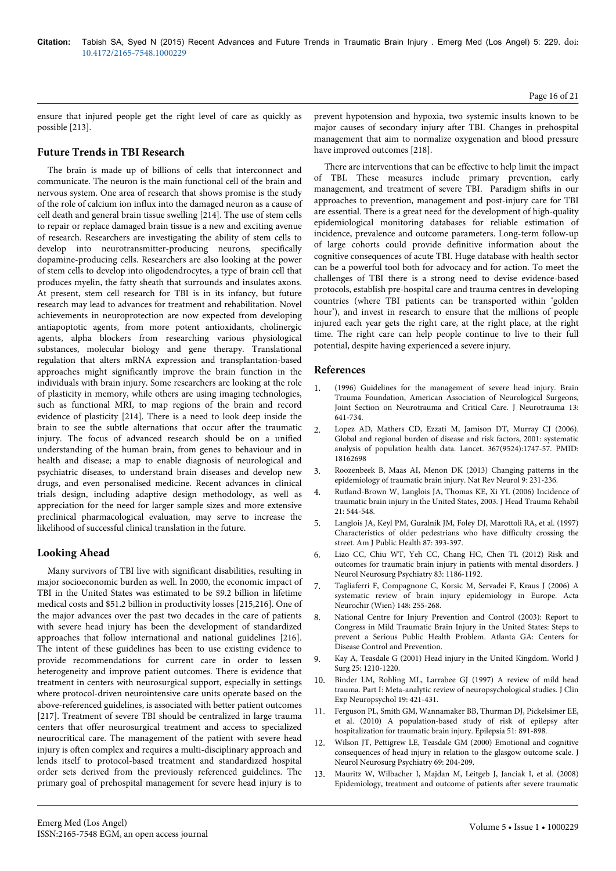ensure that injured people get the right level of care as quickly as possible [213].

## **Future Trends in TBI Research**

The brain is made up of billions of cells that interconnect and communicate. The neuron is the main functional cell of the brain and nervous system. One area of research that shows promise is the study of the role of calcium ion influx into the damaged neuron as a cause of cell death and general brain tissue swelling [214]. The use of stem cells to repair or replace damaged brain tissue is a new and exciting avenue of research. Researchers are investigating the ability of stem cells to develop into neurotransmitter-producing neurons, specifically dopamine-producing cells. Researchers are also looking at the power of stem cells to develop into oligodendrocytes, a type of brain cell that produces myelin, the fatty sheath that surrounds and insulates axons. At present, stem cell research for TBI is in its infancy, but future research may lead to advances for treatment and rehabilitation. Novel achievements in neuroprotection are now expected from developing antiapoptotic agents, from more potent antioxidants, cholinergic agents, alpha blockers from researching various physiological substances, molecular biology and gene therapy. Translational regulation that alters mRNA expression and transplantation-based approaches might significantly improve the brain function in the individuals with brain injury. Some researchers are looking at the role of plasticity in memory, while others are using imaging technologies, such as functional MRI, to map regions of the brain and record evidence of plasticity [214]. There is a need to look deep inside the brain to see the subtle alternations that occur after the traumatic injury. The focus of advanced research should be on a unified understanding of the human brain, from genes to behaviour and in health and disease; a map to enable diagnosis of neurological and psychiatric diseases, to understand brain diseases and develop new drugs, and even personalised medicine. Recent advances in clinical trials design, including adaptive design methodology, as well as appreciation for the need for larger sample sizes and more extensive preclinical pharmacological evaluation, may serve to increase the likelihood of successful clinical translation in the future.

## **Looking Ahead**

Many survivors of TBI live with significant disabilities, resulting in major socioeconomic burden as well. In 2000, the economic impact of TBI in the United States was estimated to be \$9.2 billion in lifetime medical costs and \$51.2 billion in productivity losses [215,216]. One of the major advances over the past two decades in the care of patients with severe head injury has been the development of standardized approaches that follow international and national guidelines [216]. The intent of these guidelines has been to use existing evidence to provide recommendations for current care in order to lessen heterogeneity and improve patient outcomes. There is evidence that treatment in centers with neurosurgical support, especially in settings where protocol-driven neurointensive care units operate based on the above-referenced guidelines, is associated with better patient outcomes [217]. Treatment of severe TBI should be centralized in large trauma centers that offer neurosurgical treatment and access to specialized neurocritical care. The management of the patient with severe head injury is often complex and requires a multi-disciplinary approach and lends itself to protocol-based treatment and standardized hospital order sets derived from the previously referenced guidelines. The primary goal of prehospital management for severe head injury is to

prevent hypotension and hypoxia, two systemic insults known to be major causes of secondary injury after TBI. Changes in prehospital management that aim to normalize oxygenation and blood pressure have improved outcomes [218].

There are interventions that can be effective to help limit the impact of TBI. These measures include primary prevention, early management, and treatment of severe TBI. Paradigm shifts in our approaches to prevention, management and post-injury care for TBI are essential. There is a great need for the development of high-quality epidemiological monitoring databases for reliable estimation of incidence, prevalence and outcome parameters. Long-term follow-up of large cohorts could provide definitive information about the cognitive consequences of acute TBI. Huge database with health sector can be a powerful tool both for advocacy and for action. To meet the challenges of TBI there is a strong need to devise evidence-based protocols, establish pre-hospital care and trauma centres in developing countries (where TBI patients can be transported within 'golden hour'), and invest in research to ensure that the millions of people injured each year gets the right care, at the right place, at the right time. The right care can help people continue to live to their full potential, despite having experienced a severe injury.

#### **References**

- 1. [\(1996\) Guidelines for the management of severe head injury. Brain](http://www.ncbi.nlm.nih.gov/pubmed/8941879) [Trauma Foundation, American Association of Neurological Surgeons,](http://www.ncbi.nlm.nih.gov/pubmed/8941879) [Joint Section on Neurotrauma and Critical Care. J Neurotrauma 13:](http://www.ncbi.nlm.nih.gov/pubmed/8941879) [641-734.](http://www.ncbi.nlm.nih.gov/pubmed/8941879)
- 2. Lopez AD, Mathers CD, Ezzati M, Jamison DT, Murray CJ (2006). Global and regional burden of disease and risk factors, 2001: systematic analysis of population health data. Lancet. 367(9524):1747-57. PMID: 18162698
- 3. [Roozenbeek B, Maas AI, Menon DK \(2013\) Changing patterns in the](http://www.ncbi.nlm.nih.gov/pubmed/23443846) [epidemiology of traumatic brain injury. Nat Rev Neurol 9: 231-236.](http://www.ncbi.nlm.nih.gov/pubmed/23443846)
- 4. [Rutland-Brown W, Langlois JA, Thomas KE, Xi YL \(2006\) Incidence of](http://www.ncbi.nlm.nih.gov/pubmed/17122685) [traumatic brain injury in the United States, 2003. J Head Trauma Rehabil](http://www.ncbi.nlm.nih.gov/pubmed/17122685) [21: 544-548.](http://www.ncbi.nlm.nih.gov/pubmed/17122685)
- 5. [Langlois JA, Keyl PM, Guralnik JM, Foley DJ, Marottoli RA, et al. \(1997\)](http://www.ncbi.nlm.nih.gov/pubmed/9096539) [Characteristics of older pedestrians who have difficulty crossing the](http://www.ncbi.nlm.nih.gov/pubmed/9096539) [street. Am J Public Health 87: 393-397.](http://www.ncbi.nlm.nih.gov/pubmed/9096539)
- 6. [Liao CC, Chiu WT, Yeh CC, Chang HC, Chen TL \(2012\) Risk and](http://www.ncbi.nlm.nih.gov/pubmed/22773855) [outcomes for traumatic brain injury in patients with mental disorders. J](http://www.ncbi.nlm.nih.gov/pubmed/22773855) [Neurol Neurosurg Psychiatry 83: 1186-1192.](http://www.ncbi.nlm.nih.gov/pubmed/22773855)
- 7. [Tagliaferri F, Compagnone C, Korsic M, Servadei F, Kraus J \(2006\) A](http://www.ncbi.nlm.nih.gov/pubmed/16311842) [systematic review of brain injury epidemiology in Europe. Acta](http://www.ncbi.nlm.nih.gov/pubmed/16311842) [Neurochir \(Wien\) 148: 255-268.](http://www.ncbi.nlm.nih.gov/pubmed/16311842)
- 8. National Centre for Injury Prevention and Control (2003): Report to Congress in Mild Traumatic Brain Injury in the United States: Steps to prevent a Serious Public Health Problem. Atlanta GA: Centers for Disease Control and Prevention.
- 9. [Kay A, Teasdale G \(2001\) Head injury in the United Kingdom. World J](http://www.ncbi.nlm.nih.gov/pubmed/11571960) [Surg 25: 1210-1220.](http://www.ncbi.nlm.nih.gov/pubmed/11571960)
- 10. [Binder LM, Rohling ML, Larrabee GJ \(1997\) A review of mild head](http://www.ncbi.nlm.nih.gov/pubmed/9268816) [trauma. Part I: Meta-analytic review of neuropsychological studies. J Clin](http://www.ncbi.nlm.nih.gov/pubmed/9268816) [Exp Neuropsychol 19: 421-431.](http://www.ncbi.nlm.nih.gov/pubmed/9268816)
- 11. [Ferguson PL, Smith GM, Wannamaker BB, Thurman DJ, Pickelsimer EE,](http://www.ncbi.nlm.nih.gov/pubmed/19845734) [et al. \(2010\) A population-based study of risk of epilepsy after](http://www.ncbi.nlm.nih.gov/pubmed/19845734) [hospitalization for traumatic brain injury. Epilepsia 51: 891-898.](http://www.ncbi.nlm.nih.gov/pubmed/19845734)
- 12. [Wilson JT, Pettigrew LE, Teasdale GM \(2000\) Emotional and cognitive](http://www.ncbi.nlm.nih.gov/pubmed/10896694) [consequences of head injury in relation to the glasgow outcome scale. J](http://www.ncbi.nlm.nih.gov/pubmed/10896694) [Neurol Neurosurg Psychiatry 69: 204-209.](http://www.ncbi.nlm.nih.gov/pubmed/10896694)
- 13. [Mauritz W, Wilbacher I, Majdan M, Leitgeb J, Janciak I, et al. \(2008\)](http://www.ncbi.nlm.nih.gov/pubmed/18794186) [Epidemiology, treatment and outcome of patients after severe traumatic](http://www.ncbi.nlm.nih.gov/pubmed/18794186)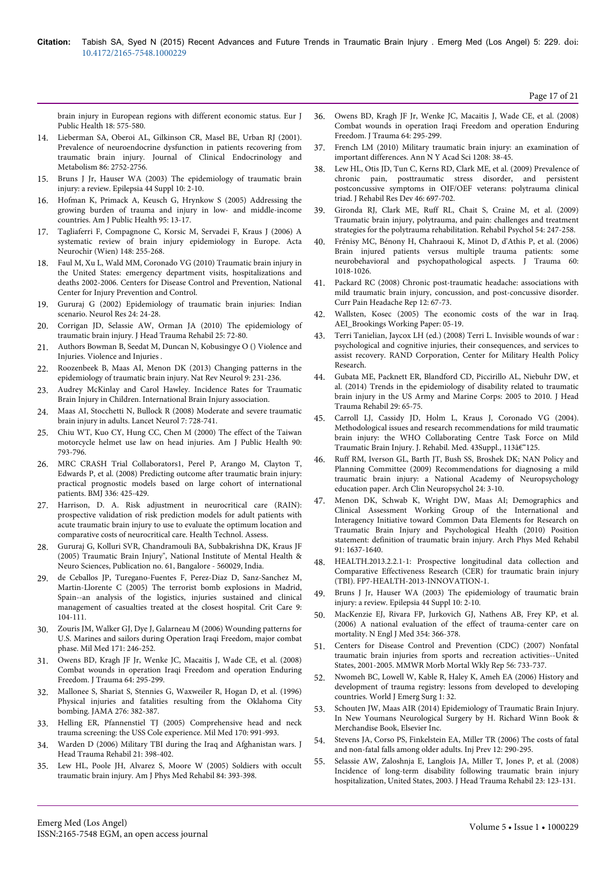[brain injury in European regions with different economic status. Eur J](http://www.ncbi.nlm.nih.gov/pubmed/18794186) [Public Health 18: 575-580.](http://www.ncbi.nlm.nih.gov/pubmed/18794186)

- 14. Lieberman SA, Oberoi AL, Gilkinson CR, Masel BE, Urban RJ (2001). Prevalence of neuroendocrine dysfunction in patients recovering from traumatic brain injury. Journal of Clinical Endocrinology and Metabolism 86: 2752-2756.
- 15. [Bruns J Jr, Hauser WA \(2003\) The epidemiology of traumatic brain](http://www.ncbi.nlm.nih.gov/pubmed/14511388) [injury: a review. Epilepsia 44 Suppl 10: 2-10.](http://www.ncbi.nlm.nih.gov/pubmed/14511388)
- 16. [Hofman K, Primack A, Keusch G, Hrynkow S \(2005\) Addressing the](http://www.ncbi.nlm.nih.gov/pubmed/15623852) [growing burden of trauma and injury in low- and middle-income](http://www.ncbi.nlm.nih.gov/pubmed/15623852) [countries. Am J Public Health 95: 13-17.](http://www.ncbi.nlm.nih.gov/pubmed/15623852)
- 17. [Tagliaferri F, Compagnone C, Korsic M, Servadei F, Kraus J \(2006\) A](http://www.ncbi.nlm.nih.gov/pubmed/16311842) [systematic review of brain injury epidemiology in Europe. Acta](http://www.ncbi.nlm.nih.gov/pubmed/16311842) [Neurochir \(Wien\) 148: 255-268.](http://www.ncbi.nlm.nih.gov/pubmed/16311842)
- 18. Faul M, Xu L, Wald MM, Coronado VG (2010) Traumatic brain injury in the United States: emergency department visits, hospitalizations and deaths 2002-2006. Centers for Disease Control and Prevention, National Center for Injury Prevention and Control.
- 19. [Gururaj G \(2002\) Epidemiology of traumatic brain injuries: Indian](http://www.ncbi.nlm.nih.gov/pubmed/11783750) [scenario. Neurol Res 24: 24-28.](http://www.ncbi.nlm.nih.gov/pubmed/11783750)
- 20. [Corrigan JD, Selassie AW, Orman JA \(2010\) The epidemiology of](http://www.ncbi.nlm.nih.gov/pubmed/20234226) [traumatic brain injury. J Head Trauma Rehabil 25: 72-80.](http://www.ncbi.nlm.nih.gov/pubmed/20234226)
- 21. [Authors Bowman B, Seedat M, Duncan N, Kobusingye O \(\) Violence and](http://www.ncbi.nlm.nih.gov/pubmed/21290665) [Injuries. Violence and Injuries .](http://www.ncbi.nlm.nih.gov/pubmed/21290665)
- 22. [Roozenbeek B, Maas AI, Menon DK \(2013\) Changing patterns in the](http://www.ncbi.nlm.nih.gov/pubmed/23443846) [epidemiology of traumatic brain injury. Nat Rev Neurol 9: 231-236.](http://www.ncbi.nlm.nih.gov/pubmed/23443846)
- 23. [Audrey McKinlay and Carol Hawley. Incidence Rates for Traumatic](http://www.internationalbrain.org/incidence-rates-for-traumatic-brain-injury-in-children/) [Brain Injury in Children. International Brain Injury association.](http://www.internationalbrain.org/incidence-rates-for-traumatic-brain-injury-in-children/)
- 24. [Maas AI, Stocchetti N, Bullock R \(2008\) Moderate and severe traumatic](http://www.ncbi.nlm.nih.gov/pubmed/18635021) [brain injury in adults. Lancet Neurol 7: 728-741.](http://www.ncbi.nlm.nih.gov/pubmed/18635021)
- 25. [Chiu WT, Kuo CY, Hung CC, Chen M \(2000\) The effect of the Taiwan](http://www.ncbi.nlm.nih.gov/pubmed/10800433) [motorcycle helmet use law on head injuries. Am J Public Health 90:](http://www.ncbi.nlm.nih.gov/pubmed/10800433) [793-796.](http://www.ncbi.nlm.nih.gov/pubmed/10800433)
- 26. [MRC CRASH Trial Collaborators1, Perel P, Arango M, Clayton T,](http://www.ncbi.nlm.nih.gov/pubmed/18270239) [Edwards P, et al. \(2008\) Predicting outcome after traumatic brain injury:](http://www.ncbi.nlm.nih.gov/pubmed/18270239) [practical prognostic models based on large cohort of international](http://www.ncbi.nlm.nih.gov/pubmed/18270239) [patients. BMJ 336: 425-429.](http://www.ncbi.nlm.nih.gov/pubmed/18270239)
- 27. Harrison, D. A. Risk adjustment in neurocritical care (RAIN): prospective validation of risk prediction models for adult patients with acute traumatic brain injury to use to evaluate the optimum location and comparative costs of neurocritical care. Health Technol. Assess.
- 28. Gururaj G, Kolluri SVR, Chandramouli BA, Subbakrishna DK, Kraus JF (2005) Traumatic Brain Injury", National Institute of Mental Health & Neuro Sciences, Publication no. 61, Bangalore - 560029, India.
- 29. de Ceballos JP, Turegano-Fuentes F, Perez-Diaz D, Sanz-Sanchez M, Martin-Llorente C (2005) The terrorist bomb explosions in Madrid, Spain--an analysis of the logistics, injuries sustained and clinical management of casualties treated at the closest hospital. Crit Care 9: 104-111.
- 30. [Zouris JM, Walker GJ, Dye J, Galarneau M \(2006\) Wounding patterns for](http://www.ncbi.nlm.nih.gov/pubmed/16602525) [U.S. Marines and sailors during Operation Iraqi Freedom, major combat](http://www.ncbi.nlm.nih.gov/pubmed/16602525) [phase. Mil Med 171: 246-252.](http://www.ncbi.nlm.nih.gov/pubmed/16602525)
- 31. [Owens BD, Kragh JF Jr, Wenke JC, Macaitis J, Wade CE, et al. \(2008\)](http://www.ncbi.nlm.nih.gov/pubmed/18301189) [Combat wounds in operation Iraqi Freedom and operation Enduring](http://www.ncbi.nlm.nih.gov/pubmed/18301189) [Freedom. J Trauma 64: 295-299.](http://www.ncbi.nlm.nih.gov/pubmed/18301189)
- 32. [Mallonee S, Shariat S, Stennies G, Waxweiler R, Hogan D, et al. \(1996\)](http://www.ncbi.nlm.nih.gov/pubmed/8683816) [Physical injuries and fatalities resulting from the Oklahoma City](http://www.ncbi.nlm.nih.gov/pubmed/8683816) [bombing. JAMA 276: 382-387.](http://www.ncbi.nlm.nih.gov/pubmed/8683816)
- 33. [Helling ER, Pfannenstiel TJ \(2005\) Comprehensive head and neck](http://www.ncbi.nlm.nih.gov/pubmed/16450829) [trauma screening: the USS Cole experience. Mil Med 170: 991-993.](http://www.ncbi.nlm.nih.gov/pubmed/16450829)
- 34. [Warden D \(2006\) Military TBI during the Iraq and Afghanistan wars. J](http://www.ncbi.nlm.nih.gov/pubmed/16983225) [Head Trauma Rehabil 21: 398-402.](http://www.ncbi.nlm.nih.gov/pubmed/16983225)
- 35. [Lew HL, Poole JH, Alvarez S, Moore W \(2005\) Soldiers with occult](http://www.ncbi.nlm.nih.gov/pubmed/15905652) [traumatic brain injury. Am J Phys Med Rehabil 84: 393-398.](http://www.ncbi.nlm.nih.gov/pubmed/15905652)
- 36. [Owens BD, Kragh JF Jr, Wenke JC, Macaitis J, Wade CE, et al. \(2008\)](http://www.ncbi.nlm.nih.gov/pubmed/18301189) [Combat wounds in operation Iraqi Freedom and operation Enduring](http://www.ncbi.nlm.nih.gov/pubmed/18301189) [Freedom. J Trauma 64: 295-299.](http://www.ncbi.nlm.nih.gov/pubmed/18301189)
- 37. [French LM \(2010\) Military traumatic brain injury: an examination of](http://www.ncbi.nlm.nih.gov/pubmed/20955324) [important differences. Ann N Y Acad Sci 1208: 38-45.](http://www.ncbi.nlm.nih.gov/pubmed/20955324)
- 38. [Lew HL, Otis JD, Tun C, Kerns RD, Clark ME, et al. \(2009\) Prevalence of](http://www.ncbi.nlm.nih.gov/pubmed/20104399) [chronic pain, posttraumatic stress disorder, and persistent](http://www.ncbi.nlm.nih.gov/pubmed/20104399) [postconcussive symptoms in OIF/OEF veterans: polytrauma clinical](http://www.ncbi.nlm.nih.gov/pubmed/20104399) [triad. J Rehabil Res Dev 46: 697-702.](http://www.ncbi.nlm.nih.gov/pubmed/20104399)
- 39. [Gironda RJ, Clark ME, Ruff RL, Chait S, Craine M, et al. \(2009\)](http://www.ncbi.nlm.nih.gov/pubmed/19702423) [Traumatic brain injury, polytrauma, and pain: challenges and treatment](http://www.ncbi.nlm.nih.gov/pubmed/19702423) [strategies for the polytrauma rehabilitation. Rehabil Psychol 54: 247-258.](http://www.ncbi.nlm.nih.gov/pubmed/19702423)
- 40. [Frénisy MC, Bénony H, Chahraoui K, Minot D, d'Athis P, et al. \(2006\)](http://www.ncbi.nlm.nih.gov/pubmed/16688064) [Brain injured patients versus multiple trauma patients: some](http://www.ncbi.nlm.nih.gov/pubmed/16688064) [neurobehavioral and psychopathological aspects. J Trauma 60:](http://www.ncbi.nlm.nih.gov/pubmed/16688064) [1018-1026.](http://www.ncbi.nlm.nih.gov/pubmed/16688064)
- 41. [Packard RC \(2008\) Chronic post-traumatic headache: associations with](http://www.ncbi.nlm.nih.gov/pubmed/18417027) [mild traumatic brain injury, concussion, and post-concussive disorder.](http://www.ncbi.nlm.nih.gov/pubmed/18417027) [Curr Pain Headache Rep 12: 67-73.](http://www.ncbi.nlm.nih.gov/pubmed/18417027)
- 42. Wallsten, Kosec (2005) The economic costs of the war in Iraq. AEI\_Brookings Working Paper: 05-19.
- 43. Terri Tanielian, Jaycox LH (ed.) (2008) Terri L. Invisible wounds of war : psychological and cognitive injuries, their consequences, and services to assist recovery. RAND Corporation, Center for Military Health Policy Research.
- 44. [Gubata ME, Packnett ER, Blandford CD, Piccirillo AL, Niebuhr DW, et](http://www.ncbi.nlm.nih.gov/pubmed/23756433) [al. \(2014\) Trends in the epidemiology of disability related to traumatic](http://www.ncbi.nlm.nih.gov/pubmed/23756433) [brain injury in the US Army and Marine Corps: 2005 to 2010. J Head](http://www.ncbi.nlm.nih.gov/pubmed/23756433) [Trauma Rehabil 29: 65-75.](http://www.ncbi.nlm.nih.gov/pubmed/23756433)
- 45. Carroll LJ, Cassidy JD, Holm L, Kraus J, Coronado VG (2004). Methodological issues and research recommendations for mild traumatic brain injury: the WHO Collaborating Centre Task Force on Mild Traumatic Brain Injury. J. Rehabil. Med. 43Suppl., 113–125.
- 46. [Ruff RM, Iverson GL, Barth JT, Bush SS, Broshek DK; NAN Policy and](http://www.ncbi.nlm.nih.gov/pubmed/19395352) [Planning Committee \(2009\) Recommendations for diagnosing a mild](http://www.ncbi.nlm.nih.gov/pubmed/19395352) [traumatic brain injury: a National Academy of Neuropsychology](http://www.ncbi.nlm.nih.gov/pubmed/19395352) [education paper. Arch Clin Neuropsychol 24: 3-10.](http://www.ncbi.nlm.nih.gov/pubmed/19395352)
- [Menon DK, Schwab K, Wright DW, Maas AI; Demographics and](http://www.ncbi.nlm.nih.gov/pubmed/21044706) [Clinical Assessment Working Group of the International and](http://www.ncbi.nlm.nih.gov/pubmed/21044706) [Interagency Initiative toward Common Data Elements for Research on](http://www.ncbi.nlm.nih.gov/pubmed/21044706) [Traumatic Brain Injury and Psychological Health \(2010\) Position](http://www.ncbi.nlm.nih.gov/pubmed/21044706) [statement: definition of traumatic brain injury. Arch Phys Med Rehabil](http://www.ncbi.nlm.nih.gov/pubmed/21044706) [91: 1637-1640.](http://www.ncbi.nlm.nih.gov/pubmed/21044706)
- 48. HEALTH.2013.2.2.1-1: Prospective longitudinal data collection and Comparative Effectiveness Research (CER) for traumatic brain injury (TBI). FP7-HEALTH-2013-INNOVATION-1.
- 49. [Bruns J Jr, Hauser WA \(2003\) The epidemiology of traumatic brain](http://www.ncbi.nlm.nih.gov/pubmed/14511388) [injury: a review. Epilepsia 44 Suppl 10: 2-10.](http://www.ncbi.nlm.nih.gov/pubmed/14511388)
- 50. [MacKenzie EJ, Rivara FP, Jurkovich GJ, Nathens AB, Frey KP, et al.](http://www.ncbi.nlm.nih.gov/pubmed/16436768) [\(2006\) A national evaluation of the effect of trauma-center care on](http://www.ncbi.nlm.nih.gov/pubmed/16436768) [mortality. N Engl J Med 354: 366-378.](http://www.ncbi.nlm.nih.gov/pubmed/16436768)
- 51. [Centers for Disease Control and Prevention \(CDC\) \(2007\) Nonfatal](http://www.ncbi.nlm.nih.gov/pubmed/17657206) [traumatic brain injuries from sports and recreation activities--United](http://www.ncbi.nlm.nih.gov/pubmed/17657206) [States, 2001-2005. MMWR Morb Mortal Wkly Rep 56: 733-737.](http://www.ncbi.nlm.nih.gov/pubmed/17657206)
- 52. [Nwomeh BC, Lowell W, Kable R, Haley K, Ameh EA \(2006\) History and](http://www.ncbi.nlm.nih.gov/pubmed/17076896) [development of trauma registry: lessons from developed to developing](http://www.ncbi.nlm.nih.gov/pubmed/17076896) [countries. World J Emerg Surg 1: 32.](http://www.ncbi.nlm.nih.gov/pubmed/17076896)
- 53. Schouten JW, Maas AIR (2014) Epidemiology of Traumatic Brain Injury. In New Youmans Neurological Surgery by H. Richard Winn Book & Merchandise Book, Elsevier Inc.
- 54. [Stevens JA, Corso PS, Finkelstein EA, Miller TR \(2006\) The costs of fatal](http://www.ncbi.nlm.nih.gov/pubmed/17018668) [and non-fatal falls among older adults. Inj Prev 12: 290-295.](http://www.ncbi.nlm.nih.gov/pubmed/17018668)
- 55. [Selassie AW, Zaloshnja E, Langlois JA, Miller T, Jones P, et al. \(2008\)](http://www.ncbi.nlm.nih.gov/pubmed/18362766) [Incidence of long-term disability following traumatic brain injury](http://www.ncbi.nlm.nih.gov/pubmed/18362766) [hospitalization, United States, 2003. J Head Trauma Rehabil 23: 123-131.](http://www.ncbi.nlm.nih.gov/pubmed/18362766)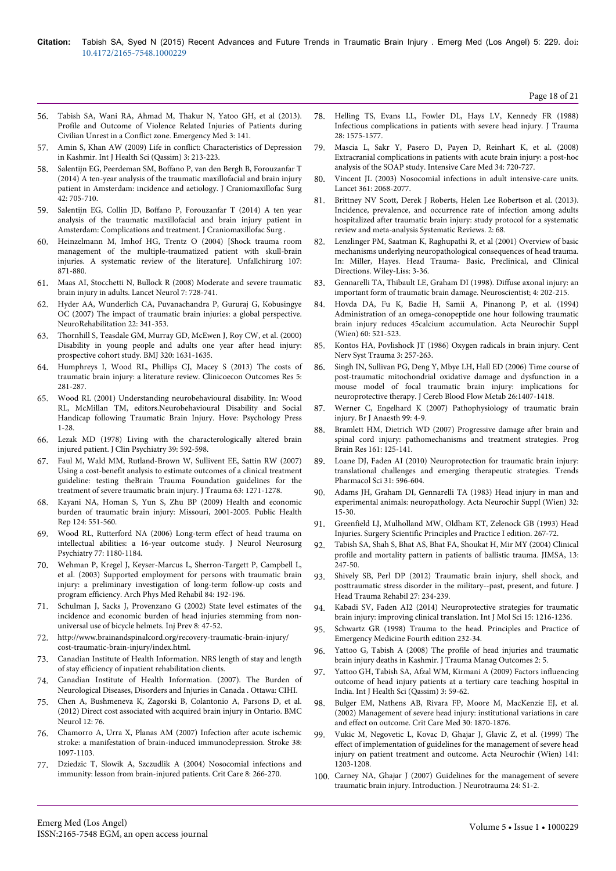- 56. Tabish SA, Wani RA, Ahmad M, Thakur N, Yatoo GH, et al (2013). Profile and Outcome of Violence Related Injuries of Patients during Civilian Unrest in a Conflict zone. Emergency Med 3: 141.
- 57. [Amin S, Khan AW \(2009\) Life in conflict: Characteristics of Depression](http://www.ncbi.nlm.nih.gov/pubmed/21475540) [in Kashmir. Int J Health Sci \(Qassim\) 3: 213-223.](http://www.ncbi.nlm.nih.gov/pubmed/21475540)
- 58. [Salentijn EG, Peerdeman SM, Boffano P, van den Bergh B, Forouzanfar T](http://www.ncbi.nlm.nih.gov/pubmed/24703508) [\(2014\) A ten-year analysis of the traumatic maxillofacial and brain injury](http://www.ncbi.nlm.nih.gov/pubmed/24703508) [patient in Amsterdam: incidence and aetiology. J Craniomaxillofac Surg](http://www.ncbi.nlm.nih.gov/pubmed/24703508) [42: 705-710.](http://www.ncbi.nlm.nih.gov/pubmed/24703508)
- 59. [Salentijn EG, Collin JD, Boffano P, Forouzanfar T \(2014\) A ten year](http://www.ncbi.nlm.nih.gov/pubmed/25176495) [analysis of the traumatic maxillofacial and brain injury patient in](http://www.ncbi.nlm.nih.gov/pubmed/25176495) [Amsterdam: Complications and treatment. J Craniomaxillofac Surg .](http://www.ncbi.nlm.nih.gov/pubmed/25176495)
- 60. [Heinzelmann M, Imhof HG, Trentz O \(2004\) \[Shock trauma room](http://www.ncbi.nlm.nih.gov/pubmed/15565425) [management of the multiple-traumatized patient with skull-brain](http://www.ncbi.nlm.nih.gov/pubmed/15565425) [injuries. A systematic review of the literature\]. Unfallchirurg 107:](http://www.ncbi.nlm.nih.gov/pubmed/15565425) [871-880.](http://www.ncbi.nlm.nih.gov/pubmed/15565425)
- 61. [Maas AI, Stocchetti N, Bullock R \(2008\) Moderate and severe traumatic](http://www.ncbi.nlm.nih.gov/pubmed/18635021) [brain injury in adults. Lancet Neurol 7: 728-741.](http://www.ncbi.nlm.nih.gov/pubmed/18635021)
- 62. [Hyder AA, Wunderlich CA, Puvanachandra P, Gururaj G, Kobusingye](http://www.ncbi.nlm.nih.gov/pubmed/18162698) [OC \(2007\) The impact of traumatic brain injuries: a global perspective.](http://www.ncbi.nlm.nih.gov/pubmed/18162698) [NeuroRehabilitation 22: 341-353.](http://www.ncbi.nlm.nih.gov/pubmed/18162698)
- 63. [Thornhill S, Teasdale GM, Murray GD, McEwen J, Roy CW, et al. \(2000\)](http://www.ncbi.nlm.nih.gov/pubmed/10856063) [Disability in young people and adults one year after head injury:](http://www.ncbi.nlm.nih.gov/pubmed/10856063) [prospective cohort study. BMJ 320: 1631-1635.](http://www.ncbi.nlm.nih.gov/pubmed/10856063)
- 64. [Humphreys I, Wood RL, Phillips CJ, Macey S \(2013\) The costs of](http://www.ncbi.nlm.nih.gov/pubmed/23836998) [traumatic brain injury: a literature review. Clinicoecon Outcomes Res 5:](http://www.ncbi.nlm.nih.gov/pubmed/23836998) [281-287.](http://www.ncbi.nlm.nih.gov/pubmed/23836998)
- 65. Wood RL (2001) Understanding neurobehavioural disability. In: Wood RL, McMillan TM, editors.Neurobehavioural Disability and Social Handicap following Traumatic Brain Injury. Hove: Psychology Press 1-28.
- 66. [Lezak MD \(1978\) Living with the characterologically altered brain](http://www.ncbi.nlm.nih.gov/pubmed/681289) [injured patient. J Clin Psychiatry 39: 592-598.](http://www.ncbi.nlm.nih.gov/pubmed/681289)
- 67. [Faul M, Wald MM, Rutland-Brown W, Sullivent EE, Sattin RW \(2007\)](http://www.ncbi.nlm.nih.gov/pubmed/18212649) [Using a cost-benefit analysis to estimate outcomes of a clinical treatment](http://www.ncbi.nlm.nih.gov/pubmed/18212649) [guideline: testing theBrain Trauma Foundation guidelines for the](http://www.ncbi.nlm.nih.gov/pubmed/18212649) [treatment of severe traumatic brain injury. J Trauma 63: 1271-1278.](http://www.ncbi.nlm.nih.gov/pubmed/18212649)
- 68. [Kayani NA, Homan S, Yun S, Zhu BP \(2009\) Health and economic](http://www.ncbi.nlm.nih.gov/pubmed/19618792) [burden of traumatic brain injury: Missouri, 2001-2005. Public Health](http://www.ncbi.nlm.nih.gov/pubmed/19618792) [Rep 124: 551-560.](http://www.ncbi.nlm.nih.gov/pubmed/19618792)
- 69. [Wood RL, Rutterford NA \(2006\) Long-term effect of head trauma on](http://www.ncbi.nlm.nih.gov/pubmed/16772355) [intellectual abilities: a 16-year outcome study. J Neurol Neurosurg](http://www.ncbi.nlm.nih.gov/pubmed/16772355) [Psychiatry 77: 1180-1184.](http://www.ncbi.nlm.nih.gov/pubmed/16772355)
- 70. [Wehman P, Kregel J, Keyser-Marcus L, Sherron-Targett P, Campbell L,](http://www.ncbi.nlm.nih.gov/pubmed/12601649) [et al. \(2003\) Supported employment for persons with traumatic brain](http://www.ncbi.nlm.nih.gov/pubmed/12601649) [injury: a preliminary investigation of long-term follow-up costs and](http://www.ncbi.nlm.nih.gov/pubmed/12601649) [program efficiency. Arch Phys Med Rehabil 84: 192-196.](http://www.ncbi.nlm.nih.gov/pubmed/12601649)
- 71. [Schulman J, Sacks J, Provenzano G \(2002\) State level estimates of the](http://www.ncbi.nlm.nih.gov/pubmed/11928974) [incidence and economic burden of head injuries stemming from non](http://www.ncbi.nlm.nih.gov/pubmed/11928974)[universal use of bicycle helmets. Inj Prev 8: 47-52.](http://www.ncbi.nlm.nih.gov/pubmed/11928974)
- 72. http://www.brainandspinalcord.org/recovery-traumatic-brain-injury/ cost-traumatic-brain-injury/index.html.
- 73. Canadian Institute of Health Information. NRS length of stay and length of stay efficiency of inpatient rehabilitation clients.
- 74. Canadian Institute of Health Information. (2007). The Burden of Neurological Diseases, Disorders and Injuries in Canada . Ottawa: CIHI.
- 75. [Chen A, Bushmeneva K, Zagorski B, Colantonio A, Parsons D, et al.](http://www.ncbi.nlm.nih.gov/pubmed/22901094) [\(2012\) Direct cost associated with acquired brain injury in Ontario. BMC](http://www.ncbi.nlm.nih.gov/pubmed/22901094) [Neurol 12: 76.](http://www.ncbi.nlm.nih.gov/pubmed/22901094)
- 76. [Chamorro A, Urra X, Planas AM \(2007\) Infection after acute ischemic](http://www.ncbi.nlm.nih.gov/pubmed/17255542) [stroke: a manifestation of brain-induced immunodepression. Stroke 38:](http://www.ncbi.nlm.nih.gov/pubmed/17255542) [1097-1103.](http://www.ncbi.nlm.nih.gov/pubmed/17255542)
- 77. [Dziedzic T, Slowik A, Szczudlik A \(2004\) Nosocomial infections and](http://www.ncbi.nlm.nih.gov/pubmed/15312209) [immunity: lesson from brain-injured patients. Crit Care 8: 266-270.](http://www.ncbi.nlm.nih.gov/pubmed/15312209)
- 78. [Helling TS, Evans LL, Fowler DL, Hays LV, Kennedy FR \(1988\)](http://www.ncbi.nlm.nih.gov/pubmed/3141628) [Infectious complications in patients with severe head injury. J Trauma](http://www.ncbi.nlm.nih.gov/pubmed/3141628) [28: 1575-1577.](http://www.ncbi.nlm.nih.gov/pubmed/3141628)
- 79. [Mascia L, Sakr Y, Pasero D, Payen D, Reinhart K, et al. \(2008\)](http://www.ncbi.nlm.nih.gov/pubmed/18175107) [Extracranial complications in patients with acute brain injury: a post-hoc](http://www.ncbi.nlm.nih.gov/pubmed/18175107) [analysis of the SOAP study. Intensive Care Med 34: 720-727.](http://www.ncbi.nlm.nih.gov/pubmed/18175107)
- 80. [Vincent JL \(2003\) Nosocomial infections in adult intensive-care units.](http://www.ncbi.nlm.nih.gov/pubmed/12814731) [Lancet 361: 2068-2077.](http://www.ncbi.nlm.nih.gov/pubmed/12814731)
- 81. Brittney NV Scott, Derek J Roberts, Helen Lee Robertson et al. (2013). Incidence, prevalence, and occurrence rate of infection among adults hospitalized after traumatic brain injury: study protocol for a systematic review and meta-analysis Systematic Reviews. 2: 68.
- 82. Lenzlinger PM, Saatman K, Raghupathi R, et al (2001) Overview of basic mechanisms underlying neuropathological consequences of head trauma. In: Miller, Hayes. Head Trauma- Basic, Preclinical, and Clinical Directions. Wiley-Liss: 3-36.
- 83. Gennarelli TA, Thibault LE, Graham DI (1998). Diffuse axonal injury: an important form of traumatic brain damage. Neuroscientist; 4: 202-215.
- 84. [Hovda DA, Fu K, Badie H, Samii A, Pinanong P, et al. \(1994\)](http://www.ncbi.nlm.nih.gov/pubmed/7976637) [Administration of an omega-conopeptide one hour following traumatic](http://www.ncbi.nlm.nih.gov/pubmed/7976637) [brain injury reduces 45calcium accumulation. Acta Neurochir Suppl](http://www.ncbi.nlm.nih.gov/pubmed/7976637) [\(Wien\) 60: 521-523.](http://www.ncbi.nlm.nih.gov/pubmed/7976637)
- 85. [Kontos HA, Povlishock JT \(1986\) Oxygen radicals in brain injury. Cent](http://www.ncbi.nlm.nih.gov/pubmed/3107844) [Nerv Syst Trauma 3: 257-263.](http://www.ncbi.nlm.nih.gov/pubmed/3107844)
- 86. Singh IN, Sullivan PG, Deng Y, Mbye LH, Hall ED (2006) Time course of post-traumatic mitochondrial oxidative damage and dysfunction in a mouse model of focal traumatic brain injury: implications for neuroprotective therapy. J Cereb Blood Flow Metab 26:1407-1418.
- 87. [Werner C, Engelhard K \(2007\) Pathophysiology of traumatic brain](http://www.ncbi.nlm.nih.gov/pubmed/17573392) [injury. Br J Anaesth 99: 4-9.](http://www.ncbi.nlm.nih.gov/pubmed/17573392)
- 88. [Bramlett HM, Dietrich WD \(2007\) Progressive damage after brain and](http://www.ncbi.nlm.nih.gov/pubmed/17618974) [spinal cord injury: pathomechanisms and treatment strategies. Prog](http://www.ncbi.nlm.nih.gov/pubmed/17618974) [Brain Res 161: 125-141.](http://www.ncbi.nlm.nih.gov/pubmed/17618974)
- 89. [Loane DJ, Faden AI \(2010\) Neuroprotection for traumatic brain injury:](http://www.ncbi.nlm.nih.gov/pubmed/21035878) [translational challenges and emerging therapeutic strategies. Trends](http://www.ncbi.nlm.nih.gov/pubmed/21035878) [Pharmacol Sci 31: 596-604.](http://www.ncbi.nlm.nih.gov/pubmed/21035878)
- 90. [Adams JH, Graham DI, Gennarelli TA \(1983\) Head injury in man and](http://www.ncbi.nlm.nih.gov/pubmed/6581702) [experimental animals: neuropathology. Acta Neurochir Suppl \(Wien\) 32:](http://www.ncbi.nlm.nih.gov/pubmed/6581702) [15-30.](http://www.ncbi.nlm.nih.gov/pubmed/6581702)
- 91. Greenfield LJ, Mulholland MW, Oldham KT, Zelenock GB (1993) Head Injuries. Surgery Scientific Principles and Practice I edition. 267-72.
- 92. Tabish SA, Shah S, Bhat AS, Bhat FA, Shoukat H, Mir MY (2004) Clinical profile and mortality pattern in patients of ballistic trauma. JIMSA, 13: 247-50.
- 93. [Shively SB, Perl DP \(2012\) Traumatic brain injury, shell shock, and](http://www.ncbi.nlm.nih.gov/pubmed/22573042) [posttraumatic stress disorder in the military--past, present, and future. J](http://www.ncbi.nlm.nih.gov/pubmed/22573042) [Head Trauma Rehabil 27: 234-239.](http://www.ncbi.nlm.nih.gov/pubmed/22573042)
- 94. [Kabadi SV, Faden AI2 \(2014\) Neuroprotective strategies for traumatic](http://www.ncbi.nlm.nih.gov/pubmed/24445258) [brain injury: improving clinical translation. Int J Mol Sci 15: 1216-1236.](http://www.ncbi.nlm.nih.gov/pubmed/24445258)
- 95. Schwartz GR (1998) Trauma to the head. Principles and Practice of Emergency Medicine Fourth edition 232-34.
- 96. [Yattoo G, Tabish A \(2008\) The profile of head injuries and traumatic](http://www.ncbi.nlm.nih.gov/pubmed/18570674) [brain injury deaths in Kashmir. J Trauma Manag Outcomes 2: 5.](http://www.ncbi.nlm.nih.gov/pubmed/18570674)
- 97. [Yattoo GH, Tabish SA, Afzal WM, Kirmani A \(2009\) Factors influencing](http://www.ncbi.nlm.nih.gov/pubmed/21475512) [outcome of head injury patients at a tertiary care teaching hospital in](http://www.ncbi.nlm.nih.gov/pubmed/21475512) [India. Int J Health Sci \(Qassim\) 3: 59-62.](http://www.ncbi.nlm.nih.gov/pubmed/21475512)
- 98. [Bulger EM, Nathens AB, Rivara FP, Moore M, MacKenzie EJ, et al.](http://www.ncbi.nlm.nih.gov/pubmed/12163808) [\(2002\) Management of severe head injury: institutional variations in care](http://www.ncbi.nlm.nih.gov/pubmed/12163808) [and effect on outcome. Crit Care Med 30: 1870-1876.](http://www.ncbi.nlm.nih.gov/pubmed/12163808)
- 99. [Vukic M, Negovetic L, Kovac D, Ghajar J, Glavic Z, et al. \(1999\) The](http://www.ncbi.nlm.nih.gov/pubmed/10592121) [effect of implementation of guidelines for the management of severe head](http://www.ncbi.nlm.nih.gov/pubmed/10592121) [injury on patient treatment and outcome. Acta Neurochir \(Wien\) 141:](http://www.ncbi.nlm.nih.gov/pubmed/10592121) [1203-1208.](http://www.ncbi.nlm.nih.gov/pubmed/10592121)
- 100. Carney NA, Ghajar J (2007) Guidelines for the management of severe traumatic brain injury. Introduction. J Neurotrauma 24: S1-2.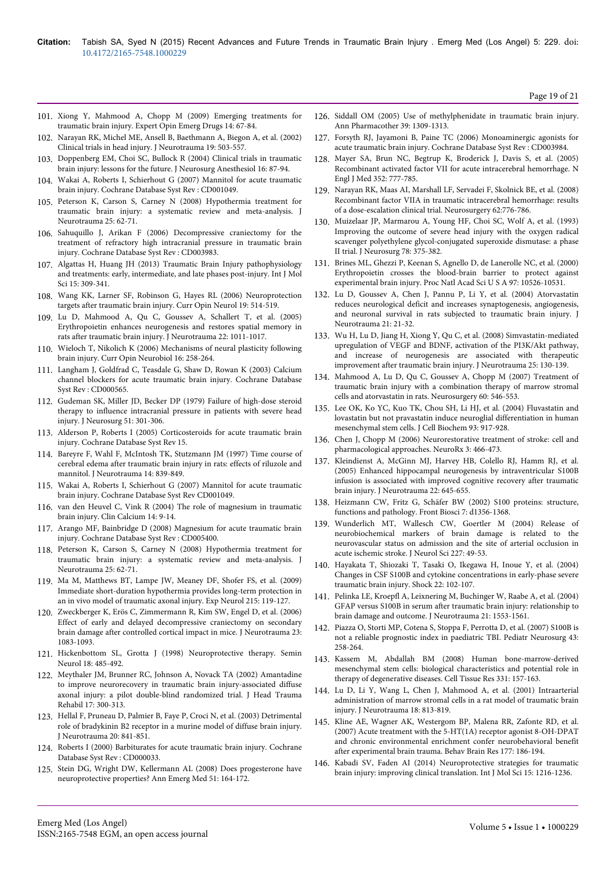- 101. [Xiong Y, Mahmood A, Chopp M \(2009\) Emerging treatments for](http://www.ncbi.nlm.nih.gov/pubmed/19249984) [traumatic brain injury. Expert Opin Emerg Drugs 14: 67-84.](http://www.ncbi.nlm.nih.gov/pubmed/19249984)
- 102. [Narayan RK, Michel ME, Ansell B, Baethmann A, Biegon A, et al. \(2002\)](http://www.ncbi.nlm.nih.gov/pubmed/12042091) [Clinical trials in head injury. J Neurotrauma 19: 503-557.](http://www.ncbi.nlm.nih.gov/pubmed/12042091)
- 103. [Doppenberg EM, Choi SC, Bullock R \(2004\) Clinical trials in traumatic](http://www.ncbi.nlm.nih.gov/pubmed/14676577) [brain injury: lessons for the future. J Neurosurg Anesthesiol 16: 87-94.](http://www.ncbi.nlm.nih.gov/pubmed/14676577)
- 104. [Wakai A, Roberts I, Schierhout G \(2007\) Mannitol for acute traumatic](http://www.ncbi.nlm.nih.gov/pubmed/17253453) [brain injury. Cochrane Database Syst Rev : CD001049.](http://www.ncbi.nlm.nih.gov/pubmed/17253453)
- 105. [Peterson K, Carson S, Carney N \(2008\) Hypothermia treatment for](http://www.ncbi.nlm.nih.gov/pubmed/18355159) [traumatic brain injury: a systematic review and meta-analysis. J](http://www.ncbi.nlm.nih.gov/pubmed/18355159) [Neurotrauma 25: 62-71.](http://www.ncbi.nlm.nih.gov/pubmed/18355159)
- 106. [Sahuquillo J, Arikan F \(2006\) Decompressive craniectomy for the](http://www.ncbi.nlm.nih.gov/pubmed/16437469) [treatment of refractory high intracranial pressure in traumatic brain](http://www.ncbi.nlm.nih.gov/pubmed/16437469) [injury. Cochrane Database Syst Rev : CD003983.](http://www.ncbi.nlm.nih.gov/pubmed/16437469)
- 107. [Algattas H, Huang JH \(2013\) Traumatic Brain Injury pathophysiology](http://www.ncbi.nlm.nih.gov/pubmed/24381049) [and treatments: early, intermediate, and late phases post-injury. Int J Mol](http://www.ncbi.nlm.nih.gov/pubmed/24381049) [Sci 15: 309-341.](http://www.ncbi.nlm.nih.gov/pubmed/24381049)
- 108. [Wang KK, Larner SF, Robinson G, Hayes RL \(2006\) Neuroprotection](http://www.ncbi.nlm.nih.gov/pubmed/17102687) [targets after traumatic brain injury. Curr Opin Neurol 19: 514-519.](http://www.ncbi.nlm.nih.gov/pubmed/17102687)
- 109. [Lu D, Mahmood A, Qu C, Goussev A, Schallert T, et al. \(2005\)](http://www.ncbi.nlm.nih.gov/pubmed/16156716) [Erythropoietin enhances neurogenesis and restores spatial memory in](http://www.ncbi.nlm.nih.gov/pubmed/16156716) [rats after traumatic brain injury. J Neurotrauma 22: 1011-1017.](http://www.ncbi.nlm.nih.gov/pubmed/16156716)
- 110. [Wieloch T, Nikolich K \(2006\) Mechanisms of neural plasticity following](http://www.ncbi.nlm.nih.gov/pubmed/16713245) [brain injury. Curr Opin Neurobiol 16: 258-264.](http://www.ncbi.nlm.nih.gov/pubmed/16713245)
- 111. [Langham J, Goldfrad C, Teasdale G, Shaw D, Rowan K \(2003\) Calcium](http://www.ncbi.nlm.nih.gov/pubmed/14583925) [channel blockers for acute traumatic brain injury. Cochrane Database](http://www.ncbi.nlm.nih.gov/pubmed/14583925) [Syst Rev : CD000565.](http://www.ncbi.nlm.nih.gov/pubmed/14583925)
- 112. [Gudeman SK, Miller JD, Becker DP \(1979\) Failure of high-dose steroid](http://www.ncbi.nlm.nih.gov/pubmed/469578) [therapy to influence intracranial pressure in patients with severe head](http://www.ncbi.nlm.nih.gov/pubmed/469578) [injury. J Neurosurg 51: 301-306.](http://www.ncbi.nlm.nih.gov/pubmed/469578)
- 113. Alderson P, Roberts I (2005) Corticosteroids for acute traumatic brain injury. Cochrane Database Syst Rev 15.
- 114. [Bareyre F, Wahl F, McIntosh TK, Stutzmann JM \(1997\) Time course of](http://www.ncbi.nlm.nih.gov/pubmed/9421455) [cerebral edema after traumatic brain injury in rats: effects of riluzole and](http://www.ncbi.nlm.nih.gov/pubmed/9421455) [mannitol. J Neurotrauma 14: 839-849.](http://www.ncbi.nlm.nih.gov/pubmed/9421455)
- 115. Wakai A, Roberts I, Schierhout G (2007) Mannitol for acute traumatic brain injury. Cochrane Database Syst Rev CD001049.
- 116. [van den Heuvel C, Vink R \(2004\) The role of magnesium in traumatic](http://www.ncbi.nlm.nih.gov/pubmed/15577090) [brain injury. Clin Calcium 14: 9-14.](http://www.ncbi.nlm.nih.gov/pubmed/15577090)
- 117. [Arango MF, Bainbridge D \(2008\) Magnesium for acute traumatic brain](http://www.ncbi.nlm.nih.gov/pubmed/18843689) [injury. Cochrane Database Syst Rev : CD005400.](http://www.ncbi.nlm.nih.gov/pubmed/18843689)
- 118. [Peterson K, Carson S, Carney N \(2008\) Hypothermia treatment for](http://www.ncbi.nlm.nih.gov/pubmed/18355159) [traumatic brain injury: a systematic review and meta-analysis. J](http://www.ncbi.nlm.nih.gov/pubmed/18355159) [Neurotrauma 25: 62-71.](http://www.ncbi.nlm.nih.gov/pubmed/18355159)
- 119. [Ma M, Matthews BT, Lampe JW, Meaney DF, Shofer FS, et al. \(2009\)](http://www.ncbi.nlm.nih.gov/pubmed/18977220) [Immediate short-duration hypothermia provides long-term protection in](http://www.ncbi.nlm.nih.gov/pubmed/18977220) [an in vivo model of traumatic axonal injury. Exp Neurol 215: 119-127.](http://www.ncbi.nlm.nih.gov/pubmed/18977220)
- 120. [Zweckberger K, Erös C, Zimmermann R, Kim SW, Engel D, et al. \(2006\)](http://www.ncbi.nlm.nih.gov/pubmed/16866621) [Effect of early and delayed decompressive craniectomy on secondary](http://www.ncbi.nlm.nih.gov/pubmed/16866621) [brain damage after controlled cortical impact in mice. J Neurotrauma 23:](http://www.ncbi.nlm.nih.gov/pubmed/16866621) [1083-1093.](http://www.ncbi.nlm.nih.gov/pubmed/16866621)
- 121. [Hickenbottom SL, Grotta J \(1998\) Neuroprotective therapy. Semin](http://www.ncbi.nlm.nih.gov/pubmed/9932619) [Neurol 18: 485-492.](http://www.ncbi.nlm.nih.gov/pubmed/9932619)
- 122. Meythaler JM, Brunner RC, Johnson A, Novack TA (2002) Amantadine to improve neurorecovery in traumatic brain injury-associated diffuse axonal injury: a pilot double-blind randomized trial. J Head Trauma Rehabil 17: 300-313.
- 123. [Hellal F, Pruneau D, Palmier B, Faye P, Croci N, et al. \(2003\) Detrimental](http://www.ncbi.nlm.nih.gov/pubmed/14577862) [role of bradykinin B2 receptor in a murine model of diffuse brain injury.](http://www.ncbi.nlm.nih.gov/pubmed/14577862) [J Neurotrauma 20: 841-851.](http://www.ncbi.nlm.nih.gov/pubmed/14577862)
- 124. [Roberts I \(2000\) Barbiturates for acute traumatic brain injury. Cochrane](http://www.ncbi.nlm.nih.gov/pubmed/10796689) [Database Syst Rev : CD000033.](http://www.ncbi.nlm.nih.gov/pubmed/10796689)
- 125. [Stein DG, Wright DW, Kellermann AL \(2008\) Does progesterone have](http://www.ncbi.nlm.nih.gov/pubmed/17588708) [neuroprotective properties? Ann Emerg Med 51: 164-172.](http://www.ncbi.nlm.nih.gov/pubmed/17588708)
- 126. [Siddall OM \(2005\) Use of methylphenidate in traumatic brain injury.](http://www.ncbi.nlm.nih.gov/pubmed/15914519) [Ann Pharmacother 39: 1309-1313.](http://www.ncbi.nlm.nih.gov/pubmed/15914519)
- 127. [Forsyth RJ, Jayamoni B, Paine TC \(2006\) Monoaminergic agonists for](http://www.ncbi.nlm.nih.gov/pubmed/17054192) [acute traumatic brain injury. Cochrane Database Syst Rev : CD003984.](http://www.ncbi.nlm.nih.gov/pubmed/17054192)
- 128. [Mayer SA, Brun NC, Begtrup K, Broderick J, Davis S, et al. \(2005\)](http://www.ncbi.nlm.nih.gov/pubmed/15728810) [Recombinant activated factor VII for acute intracerebral hemorrhage. N](http://www.ncbi.nlm.nih.gov/pubmed/15728810) [Engl J Med 352: 777-785.](http://www.ncbi.nlm.nih.gov/pubmed/15728810)
- 129. Narayan RK, Maas AI, Marshall LF, Servadei F, Skolnick BE, et al. (2008) Recombinant factor VIIA in traumatic intracerebral hemorrhage: results of a dose-escalation clinical trial. Neurosurgery 62:776-786.
- 130. [Muizelaar JP, Marmarou A, Young HF, Choi SC, Wolf A, et al. \(1993\)](http://www.ncbi.nlm.nih.gov/pubmed/8433137) [Improving the outcome of severe head injury with the oxygen radical](http://www.ncbi.nlm.nih.gov/pubmed/8433137) [scavenger polyethylene glycol-conjugated superoxide dismutase: a phase](http://www.ncbi.nlm.nih.gov/pubmed/8433137) [II trial. J Neurosurg 78: 375-382.](http://www.ncbi.nlm.nih.gov/pubmed/8433137)
- 131. [Brines ML, Ghezzi P, Keenan S, Agnello D, de Lanerolle NC, et al. \(2000\)](http://www.ncbi.nlm.nih.gov/pubmed/10984541) [Erythropoietin crosses the blood-brain barrier to protect against](http://www.ncbi.nlm.nih.gov/pubmed/10984541) [experimental brain injury. Proc Natl Acad Sci U S A 97: 10526-10531.](http://www.ncbi.nlm.nih.gov/pubmed/10984541)
- 132. [Lu D, Goussev A, Chen J, Pannu P, Li Y, et al. \(2004\) Atorvastatin](http://www.ncbi.nlm.nih.gov/pubmed/14987462) [reduces neurological deficit and increases synaptogenesis, angiogenesis,](http://www.ncbi.nlm.nih.gov/pubmed/14987462) [and neuronal survival in rats subjected to traumatic brain injury. J](http://www.ncbi.nlm.nih.gov/pubmed/14987462) [Neurotrauma 21: 21-32.](http://www.ncbi.nlm.nih.gov/pubmed/14987462)
- 133. [Wu H, Lu D, Jiang H, Xiong Y, Qu C, et al. \(2008\) Simvastatin-mediated](http://www.ncbi.nlm.nih.gov/pubmed/18260796) [upregulation of VEGF and BDNF, activation of the PI3K/Akt pathway,](http://www.ncbi.nlm.nih.gov/pubmed/18260796) [and increase of neurogenesis are associated with therapeutic](http://www.ncbi.nlm.nih.gov/pubmed/18260796) [improvement after traumatic brain injury. J Neurotrauma 25: 130-139.](http://www.ncbi.nlm.nih.gov/pubmed/18260796)
- 134. [Mahmood A, Lu D, Qu C, Goussev A, Chopp M \(2007\) Treatment of](http://www.ncbi.nlm.nih.gov/pubmed/17327800) [traumatic brain injury with a combination therapy of marrow stromal](http://www.ncbi.nlm.nih.gov/pubmed/17327800) [cells and atorvastatin in rats. Neurosurgery 60: 546-553.](http://www.ncbi.nlm.nih.gov/pubmed/17327800)
- 135. [Lee OK, Ko YC, Kuo TK, Chou SH, Li HJ, et al. \(2004\) Fluvastatin and](http://www.ncbi.nlm.nih.gov/pubmed/15389871) [lovastatin but not pravastatin induce neuroglial differentiation in human](http://www.ncbi.nlm.nih.gov/pubmed/15389871) [mesenchymal stem cells. J Cell Biochem 93: 917-928.](http://www.ncbi.nlm.nih.gov/pubmed/15389871)
- 136. [Chen J, Chopp M \(2006\) Neurorestorative treatment of stroke: cell and](http://www.ncbi.nlm.nih.gov/pubmed/17012060) [pharmacological approaches. NeuroRx 3: 466-473.](http://www.ncbi.nlm.nih.gov/pubmed/17012060)
- 137. [Kleindienst A, McGinn MJ, Harvey HB, Colello RJ, Hamm RJ, et al.](http://www.ncbi.nlm.nih.gov/pubmed/15941374) [\(2005\) Enhanced hippocampal neurogenesis by intraventricular S100B](http://www.ncbi.nlm.nih.gov/pubmed/15941374) [infusion is associated with improved cognitive recovery after traumatic](http://www.ncbi.nlm.nih.gov/pubmed/15941374) [brain injury. J Neurotrauma 22: 645-655.](http://www.ncbi.nlm.nih.gov/pubmed/15941374)
- 138. [Heizmann CW, Fritz G, Schäfer BW \(2002\) S100 proteins: structure,](http://www.ncbi.nlm.nih.gov/pubmed/11991838) [functions and pathology. Front Biosci 7: d1356-1368.](http://www.ncbi.nlm.nih.gov/pubmed/11991838)
- 139. [Wunderlich MT, Wallesch CW, Goertler M \(2004\) Release of](http://www.ncbi.nlm.nih.gov/pubmed/15546591) [neurobiochemical markers of brain damage is related to the](http://www.ncbi.nlm.nih.gov/pubmed/15546591) [neurovascular status on admission and the site of arterial occlusion in](http://www.ncbi.nlm.nih.gov/pubmed/15546591) [acute ischemic stroke. J Neurol Sci 227: 49-53.](http://www.ncbi.nlm.nih.gov/pubmed/15546591)
- 140. [Hayakata T, Shiozaki T, Tasaki O, Ikegawa H, Inoue Y, et al. \(2004\)](http://www.ncbi.nlm.nih.gov/pubmed/15257081) [Changes in CSF S100B and cytokine concentrations in early-phase severe](http://www.ncbi.nlm.nih.gov/pubmed/15257081) [traumatic brain injury. Shock 22: 102-107.](http://www.ncbi.nlm.nih.gov/pubmed/15257081)
- 141. [Pelinka LE, Kroepfl A, Leixnering M, Buchinger W, Raabe A, et al. \(2004\)](http://www.ncbi.nlm.nih.gov/pubmed/15684648) [GFAP versus S100B in serum after traumatic brain injury: relationship to](http://www.ncbi.nlm.nih.gov/pubmed/15684648) [brain damage and outcome. J Neurotrauma 21: 1553-1561.](http://www.ncbi.nlm.nih.gov/pubmed/15684648)
- 142. [Piazza O, Storti MP, Cotena S, Stoppa F, Perrotta D, et al. \(2007\) S100B is](http://www.ncbi.nlm.nih.gov/pubmed/17627141) [not a reliable prognostic index in paediatric TBI. Pediatr Neurosurg 43:](http://www.ncbi.nlm.nih.gov/pubmed/17627141) [258-264.](http://www.ncbi.nlm.nih.gov/pubmed/17627141)
- 143. [Kassem M, Abdallah BM \(2008\) Human bone-marrow-derived](http://www.ncbi.nlm.nih.gov/pubmed/17896115) [mesenchymal stem cells: biological characteristics and potential role in](http://www.ncbi.nlm.nih.gov/pubmed/17896115) [therapy of degenerative diseases. Cell Tissue Res 331: 157-163.](http://www.ncbi.nlm.nih.gov/pubmed/17896115)
- 144. [Lu D, Li Y, Wang L, Chen J, Mahmood A, et al. \(2001\) Intraarterial](http://www.ncbi.nlm.nih.gov/pubmed/11526987) [administration of marrow stromal cells in a rat model of traumatic brain](http://www.ncbi.nlm.nih.gov/pubmed/11526987) [injury. J Neurotrauma 18: 813-819.](http://www.ncbi.nlm.nih.gov/pubmed/11526987)
- 145. [Kline AE, Wagner AK, Westergom BP, Malena RR, Zafonte RD, et al.](http://www.ncbi.nlm.nih.gov/pubmed/17166603) [\(2007\) Acute treatment with the 5-HT\(1A\) receptor agonist 8-OH-DPAT](http://www.ncbi.nlm.nih.gov/pubmed/17166603) [and chronic environmental enrichment confer neurobehavioral benefit](http://www.ncbi.nlm.nih.gov/pubmed/17166603) [after experimental brain trauma. Behav Brain Res 177: 186-194.](http://www.ncbi.nlm.nih.gov/pubmed/17166603)
- 146. [Kabadi SV, Faden AI \(2014\) Neuroprotective strategies for traumatic](http://www.ncbi.nlm.nih.gov/pubmed/24445258) [brain injury: improving clinical translation. Int J Mol Sci 15: 1216-1236.](http://www.ncbi.nlm.nih.gov/pubmed/24445258)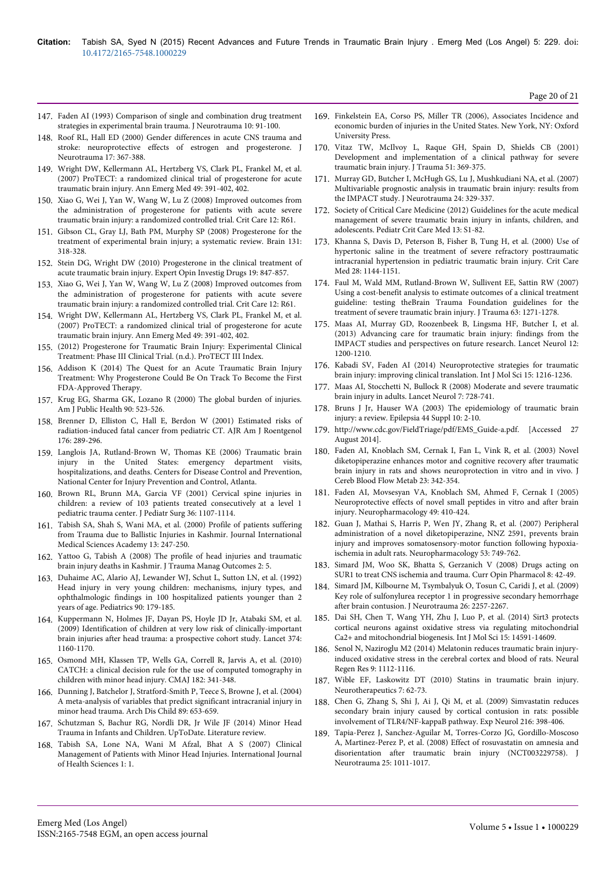- 147. [Faden AI \(1993\) Comparison of single and combination drug treatment](http://www.ncbi.nlm.nih.gov/pubmed/8411221) [strategies in experimental brain trauma. J Neurotrauma 10: 91-100.](http://www.ncbi.nlm.nih.gov/pubmed/8411221)
- 148. [Roof RL, Hall ED \(2000\) Gender differences in acute CNS trauma and](http://www.ncbi.nlm.nih.gov/pubmed/10833057) [stroke: neuroprotective effects of estrogen and progesterone. J](http://www.ncbi.nlm.nih.gov/pubmed/10833057) [Neurotrauma 17: 367-388.](http://www.ncbi.nlm.nih.gov/pubmed/10833057)
- 149. [Wright DW, Kellermann AL, Hertzberg VS, Clark PL, Frankel M, et al.](http://www.ncbi.nlm.nih.gov/pubmed/17011666) [\(2007\) ProTECT: a randomized clinical trial of progesterone for acute](http://www.ncbi.nlm.nih.gov/pubmed/17011666) [traumatic brain injury. Ann Emerg Med 49: 391-402, 402.](http://www.ncbi.nlm.nih.gov/pubmed/17011666)
- 150. [Xiao G, Wei J, Yan W, Wang W, Lu Z \(2008\) Improved outcomes from](http://www.ncbi.nlm.nih.gov/pubmed/18447940) [the administration of progesterone for patients with acute severe](http://www.ncbi.nlm.nih.gov/pubmed/18447940) [traumatic brain injury: a randomized controlled trial. Crit Care 12: R61.](http://www.ncbi.nlm.nih.gov/pubmed/18447940)
- 151. [Gibson CL, Gray LJ, Bath PM, Murphy SP \(2008\) Progesterone for the](http://www.ncbi.nlm.nih.gov/pubmed/17715141) [treatment of experimental brain injury; a systematic review. Brain 131:](http://www.ncbi.nlm.nih.gov/pubmed/17715141) [318-328.](http://www.ncbi.nlm.nih.gov/pubmed/17715141)
- 152. [Stein DG, Wright DW \(2010\) Progesterone in the clinical treatment of](http://www.ncbi.nlm.nih.gov/pubmed/20486864) [acute traumatic brain injury. Expert Opin Investig Drugs 19: 847-857.](http://www.ncbi.nlm.nih.gov/pubmed/20486864)
- 153. [Xiao G, Wei J, Yan W, Wang W, Lu Z \(2008\) Improved outcomes from](http://www.ncbi.nlm.nih.gov/pubmed/18447940) [the administration of progesterone for patients with acute severe](http://www.ncbi.nlm.nih.gov/pubmed/18447940) [traumatic brain injury: a randomized controlled trial. Crit Care 12: R61.](http://www.ncbi.nlm.nih.gov/pubmed/18447940)
- 154. [Wright DW, Kellermann AL, Hertzberg VS, Clark PL, Frankel M, et al.](http://www.ncbi.nlm.nih.gov/pubmed/17011666) [\(2007\) ProTECT: a randomized clinical trial of progesterone for acute](http://www.ncbi.nlm.nih.gov/pubmed/17011666) [traumatic brain injury. Ann Emerg Med 49: 391-402, 402.](http://www.ncbi.nlm.nih.gov/pubmed/17011666)
- 155. [\(2012\) Progesterone for Traumatic Brain Injury: Experimental Clinical](http://em.emory.edu/protect/) [Treatment: Phase III Clinical Trial. \(n.d.\). ProTECT III Index.](http://em.emory.edu/protect/)
- 156. [Addison K \(2014\) The Quest for an Acute Traumatic Brain Injury](http://www.news-medical.net/health/The-Quest-for-an-Acute-Traumatic-Brain-Injury-Treatment-Why-Progesterone-Could-Be-On-Track-To-Become-the-First-FDA-Approved-Therapy.aspx) [Treatment: Why Progesterone Could Be On Track To Become the First](http://www.news-medical.net/health/The-Quest-for-an-Acute-Traumatic-Brain-Injury-Treatment-Why-Progesterone-Could-Be-On-Track-To-Become-the-First-FDA-Approved-Therapy.aspx) [FDA-Approved Therapy.](http://www.news-medical.net/health/The-Quest-for-an-Acute-Traumatic-Brain-Injury-Treatment-Why-Progesterone-Could-Be-On-Track-To-Become-the-First-FDA-Approved-Therapy.aspx)
- 157. [Krug EG, Sharma GK, Lozano R \(2000\) The global burden of injuries.](http://www.ncbi.nlm.nih.gov/pubmed/10754963) [Am J Public Health 90: 523-526.](http://www.ncbi.nlm.nih.gov/pubmed/10754963)
- 158. [Brenner D, Elliston C, Hall E, Berdon W \(2001\) Estimated risks of](http://www.ncbi.nlm.nih.gov/pubmed/11159059) [radiation-induced fatal cancer from pediatric CT. AJR Am J Roentgenol](http://www.ncbi.nlm.nih.gov/pubmed/11159059) [176: 289-296.](http://www.ncbi.nlm.nih.gov/pubmed/11159059)
- 159. Langlois JA, Rutland-Brown W, Thomas KE (2006) Traumatic brain injury in the United States: emergency department visits, hospitalizations, and deaths. Centers for Disease Control and Prevention, National Center for Injury Prevention and Control, Atlanta.
- 160. [Brown RL, Brunn MA, Garcia VF \(2001\) Cervical spine injuries in](http://www.ncbi.nlm.nih.gov/pubmed/11479837) [children: a review of 103 patients treated consecutively at a level 1](http://www.ncbi.nlm.nih.gov/pubmed/11479837) [pediatric trauma center. J Pediatr Surg 36: 1107-1114.](http://www.ncbi.nlm.nih.gov/pubmed/11479837)
- 161. Tabish SA, Shah S, Wani MA, et al. (2000) Profile of patients suffering from Trauma due to Ballistic Injuries in Kashmir. Journal International Medical Sciences Academy 13: 247-250.
- 162. [Yattoo G, Tabish A \(2008\) The profile of head injuries and traumatic](http://www.ncbi.nlm.nih.gov/pubmed/18570674) [brain injury deaths in Kashmir. J Trauma Manag Outcomes 2: 5.](http://www.ncbi.nlm.nih.gov/pubmed/18570674)
- 163. [Duhaime AC, Alario AJ, Lewander WJ, Schut L, Sutton LN, et al. \(1992\)](http://www.ncbi.nlm.nih.gov/pubmed/1641278) [Head injury in very young children: mechanisms, injury types, and](http://www.ncbi.nlm.nih.gov/pubmed/1641278) [ophthalmologic findings in 100 hospitalized patients younger than 2](http://www.ncbi.nlm.nih.gov/pubmed/1641278) [years of age. Pediatrics 90: 179-185.](http://www.ncbi.nlm.nih.gov/pubmed/1641278)
- 164. [Kuppermann N, Holmes JF, Dayan PS, Hoyle JD Jr, Atabaki SM, et al.](http://www.ncbi.nlm.nih.gov/pubmed/19758692) [\(2009\) Identification of children at very low risk of clinically-important](http://www.ncbi.nlm.nih.gov/pubmed/19758692) [brain injuries after head trauma: a prospective cohort study. Lancet 374:](http://www.ncbi.nlm.nih.gov/pubmed/19758692) [1160-1170.](http://www.ncbi.nlm.nih.gov/pubmed/19758692)
- 165. [Osmond MH, Klassen TP, Wells GA, Correll R, Jarvis A, et al. \(2010\)](http://www.ncbi.nlm.nih.gov/pubmed/20142371) [CATCH: a clinical decision rule for the use of computed tomography in](http://www.ncbi.nlm.nih.gov/pubmed/20142371) [children with minor head injury. CMAJ 182: 341-348.](http://www.ncbi.nlm.nih.gov/pubmed/20142371)
- 166. [Dunning J, Batchelor J, Stratford-Smith P, Teece S, Browne J, et al. \(2004\)](http://www.ncbi.nlm.nih.gov/pubmed/15210499) [A meta-analysis of variables that predict significant intracranial injury in](http://www.ncbi.nlm.nih.gov/pubmed/15210499) [minor head trauma. Arch Dis Child 89: 653-659.](http://www.ncbi.nlm.nih.gov/pubmed/15210499)
- 167. Schutzman S, Bachur RG, Nordli DR, Jr Wile JF (2014) Minor Head Trauma in Infants and Children. UpToDate. Literature review.
- 168. Tabish SA, Lone NA, Wani M Afzal, Bhat A S (2007) Clinical Management of Patients with Minor Head Injuries. International Journal of Health Sciences 1: 1.
- 169. Finkelstein EA, Corso PS, Miller TR (2006), Associates Incidence and economic burden of injuries in the United States. New York, NY: Oxford University Press.
- 170. [Vitaz TW, McIlvoy L, Raque GH, Spain D, Shields CB \(2001\)](http://www.ncbi.nlm.nih.gov/pubmed/11493802) [Development and implementation of a clinical pathway for severe](http://www.ncbi.nlm.nih.gov/pubmed/11493802) [traumatic brain injury. J Trauma 51: 369-375.](http://www.ncbi.nlm.nih.gov/pubmed/11493802)
- 171. [Murray GD, Butcher I, McHugh GS, Lu J, Mushkudiani NA, et al. \(2007\)](http://www.ncbi.nlm.nih.gov/pubmed/17375997) [Multivariable prognostic analysis in traumatic brain injury: results from](http://www.ncbi.nlm.nih.gov/pubmed/17375997) [the IMPACT study. J Neurotrauma 24: 329-337.](http://www.ncbi.nlm.nih.gov/pubmed/17375997)
- 172. Society of Critical Care Medicine (2012) Guidelines for the acute medical management of severe traumatic brain injury in infants, children, and adolescents. Pediatr Crit Care Med 13: S1-82.
- 173. [Khanna S, Davis D, Peterson B, Fisher B, Tung H, et al. \(2000\) Use of](http://www.ncbi.nlm.nih.gov/pubmed/10809296) [hypertonic saline in the treatment of severe refractory posttraumatic](http://www.ncbi.nlm.nih.gov/pubmed/10809296) [intracranial hypertension in pediatric traumatic brain injury. Crit Care](http://www.ncbi.nlm.nih.gov/pubmed/10809296) [Med 28: 1144-1151.](http://www.ncbi.nlm.nih.gov/pubmed/10809296)
- 174. [Faul M, Wald MM, Rutland-Brown W, Sullivent EE, Sattin RW \(2007\)](http://www.ncbi.nlm.nih.gov/pubmed/18212649) [Using a cost-benefit analysis to estimate outcomes of a clinical treatment](http://www.ncbi.nlm.nih.gov/pubmed/18212649) [guideline: testing theBrain Trauma Foundation guidelines for the](http://www.ncbi.nlm.nih.gov/pubmed/18212649) [treatment of severe traumatic brain injury. J Trauma 63: 1271-1278.](http://www.ncbi.nlm.nih.gov/pubmed/18212649)
- 175. [Maas AI, Murray GD, Roozenbeek B, Lingsma HF, Butcher I, et al.](http://www.ncbi.nlm.nih.gov/pubmed/24139680) [\(2013\) Advancing care for traumatic brain injury: findings from the](http://www.ncbi.nlm.nih.gov/pubmed/24139680) [IMPACT studies and perspectives on future research. Lancet Neurol 12:](http://www.ncbi.nlm.nih.gov/pubmed/24139680) [1200-1210.](http://www.ncbi.nlm.nih.gov/pubmed/24139680)
- 176. [Kabadi SV, Faden AI \(2014\) Neuroprotective strategies for traumatic](http://www.ncbi.nlm.nih.gov/pubmed/24445258) [brain injury: improving clinical translation. Int J Mol Sci 15: 1216-1236.](http://www.ncbi.nlm.nih.gov/pubmed/24445258)
- 177. [Maas AI, Stocchetti N, Bullock R \(2008\) Moderate and severe traumatic](http://www.ncbi.nlm.nih.gov/pubmed/18635021) [brain injury in adults. Lancet Neurol 7: 728-741.](http://www.ncbi.nlm.nih.gov/pubmed/18635021)
- 178. [Bruns J Jr, Hauser WA \(2003\) The epidemiology of traumatic brain](http://www.ncbi.nlm.nih.gov/pubmed/14511388) [injury: a review. Epilepsia 44 Suppl 10: 2-10.](http://www.ncbi.nlm.nih.gov/pubmed/14511388)
- 179. http://www.cdc.gov/FieldTriage/pdf/EMS\_Guide-a.pdf. [Accessed 27 August 2014].
- 180. [Faden AI, Knoblach SM, Cernak I, Fan L, Vink R, et al. \(2003\) Novel](http://www.ncbi.nlm.nih.gov/pubmed/12621309) [diketopiperazine enhances motor and cognitive recovery after traumatic](http://www.ncbi.nlm.nih.gov/pubmed/12621309) [brain injury in rats and shows neuroprotection in vitro and in vivo. J](http://www.ncbi.nlm.nih.gov/pubmed/12621309) [Cereb Blood Flow Metab 23: 342-354.](http://www.ncbi.nlm.nih.gov/pubmed/12621309)
- 181. [Faden AI, Movsesyan VA, Knoblach SM, Ahmed F, Cernak I \(2005\)](http://www.ncbi.nlm.nih.gov/pubmed/15907950) [Neuroprotective effects of novel small peptides in vitro and after brain](http://www.ncbi.nlm.nih.gov/pubmed/15907950) [injury. Neuropharmacology 49: 410-424.](http://www.ncbi.nlm.nih.gov/pubmed/15907950)
- 182. [Guan J, Mathai S, Harris P, Wen JY, Zhang R, et al. \(2007\) Peripheral](http://www.ncbi.nlm.nih.gov/pubmed/17904590) [administration of a novel diketopiperazine, NNZ 2591, prevents brain](http://www.ncbi.nlm.nih.gov/pubmed/17904590) [injury and improves somatosensory-motor function following hypoxia](http://www.ncbi.nlm.nih.gov/pubmed/17904590)[ischemia in adult rats. Neuropharmacology 53: 749-762.](http://www.ncbi.nlm.nih.gov/pubmed/17904590)
- 183. [Simard JM, Woo SK, Bhatta S, Gerzanich V \(2008\) Drugs acting on](http://www.ncbi.nlm.nih.gov/pubmed/18032110) [SUR1 to treat CNS ischemia and trauma. Curr Opin Pharmacol 8: 42-49.](http://www.ncbi.nlm.nih.gov/pubmed/18032110)
- 184. [Simard JM, Kilbourne M, Tsymbalyuk O, Tosun C, Caridi J, et al. \(2009\)](http://www.ncbi.nlm.nih.gov/pubmed/19604096) [Key role of sulfonylurea receptor 1 in progressive secondary hemorrhage](http://www.ncbi.nlm.nih.gov/pubmed/19604096) [after brain contusion. J Neurotrauma 26: 2257-2267.](http://www.ncbi.nlm.nih.gov/pubmed/19604096)
- 185. [Dai SH, Chen T, Wang YH, Zhu J, Luo P, et al. \(2014\) Sirt3 protects](http://www.ncbi.nlm.nih.gov/pubmed/25196599) [cortical neurons against oxidative stress via regulating mitochondrial](http://www.ncbi.nlm.nih.gov/pubmed/25196599) [Ca2+ and mitochondrial biogenesis. Int J Mol Sci 15: 14591-14609.](http://www.ncbi.nlm.nih.gov/pubmed/25196599)
- 186. [Senol N, Naziroglu M2 \(2014\) Melatonin reduces traumatic brain injury](http://www.ncbi.nlm.nih.gov/pubmed/25206769)[induced oxidative stress in the cerebral cortex and blood of rats. Neural](http://www.ncbi.nlm.nih.gov/pubmed/25206769) [Regen Res 9: 1112-1116.](http://www.ncbi.nlm.nih.gov/pubmed/25206769)
- 187. [Wible EF, Laskowitz DT \(2010\) Statins in traumatic brain injury.](http://www.ncbi.nlm.nih.gov/pubmed/20129498) [Neurotherapeutics 7: 62-73.](http://www.ncbi.nlm.nih.gov/pubmed/20129498)
- 188. [Chen G, Zhang S, Shi J, Ai J, Qi M, et al. \(2009\) Simvastatin reduces](http://www.ncbi.nlm.nih.gov/pubmed/19166837) [secondary brain injury caused by cortical contusion in rats: possible](http://www.ncbi.nlm.nih.gov/pubmed/19166837) [involvement of TLR4/NF-kappaB pathway. Exp Neurol 216: 398-406.](http://www.ncbi.nlm.nih.gov/pubmed/19166837)
- 189. [Tapia-Perez J, Sanchez-Aguilar M, Torres-Corzo JG, Gordillo-Moscoso](http://www.ncbi.nlm.nih.gov/pubmed/18690806) [A, Martinez-Perez P, et al. \(2008\) Effect of rosuvastatin on amnesia and](http://www.ncbi.nlm.nih.gov/pubmed/18690806) [disorientation after traumatic brain injury \(NCT003229758\). J](http://www.ncbi.nlm.nih.gov/pubmed/18690806) [Neurotrauma 25: 1011-1017.](http://www.ncbi.nlm.nih.gov/pubmed/18690806)